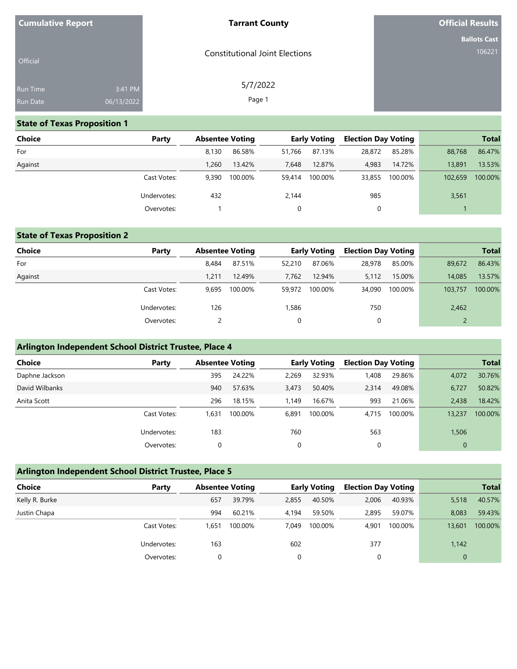| <b>Cumulative Report</b> |            | <b>Tarrant County</b>                 | <b>Official Results</b> |
|--------------------------|------------|---------------------------------------|-------------------------|
|                          |            |                                       | <b>Ballots Cast</b>     |
| Official                 |            | <b>Constitutional Joint Elections</b> | 106221                  |
| Run Time                 | 3:41 PM    | 5/7/2022                              |                         |
| Run Date                 | 06/13/2022 | Page 1                                |                         |

## **State of Texas Proposition 1**

| <b>Choice</b> | Party       | <b>Absentee Voting</b> |         |        | <b>Early Voting</b> | <b>Election Day Voting</b> |         |         | <b>Total</b> |
|---------------|-------------|------------------------|---------|--------|---------------------|----------------------------|---------|---------|--------------|
| For           |             | 8.130                  | 86.58%  | 51.766 | 87.13%              | 28,872                     | 85.28%  | 88,768  | 86.47%       |
| Against       |             | 1,260                  | 13.42%  | 7.648  | 12.87%              | 4,983                      | 14.72%  | 13,891  | 13.53%       |
|               | Cast Votes: | 9.390                  | 100.00% | 59,414 | 100.00%             | 33,855                     | 100.00% | 102,659 | 100.00%      |
|               | Undervotes: | 432                    |         | 2,144  |                     | 985                        |         | 3,561   |              |
|               | Overvotes:  |                        |         |        |                     | 0                          |         |         |              |

## **State of Texas Proposition 2**

| <b>Choice</b> | Party       | <b>Absentee Voting</b> |         |        | <b>Early Voting</b> | <b>Election Day Voting</b> |         |         | <b>Total</b> |
|---------------|-------------|------------------------|---------|--------|---------------------|----------------------------|---------|---------|--------------|
| For           |             | 8.484                  | 87.51%  | 52,210 | 87.06%              | 28,978                     | 85.00%  | 89,672  | 86.43%       |
| Against       |             | 1.211                  | 12.49%  | 7,762  | 12.94%              | 5,112                      | 15.00%  | 14.085  | 13.57%       |
|               | Cast Votes: | 9.695                  | 100.00% | 59,972 | 100.00%             | 34,090                     | 100.00% | 103,757 | 100.00%      |
|               | Undervotes: | 126                    |         | 1,586  |                     | 750                        |         | 2,462   |              |
|               | Overvotes:  |                        |         | 0      |                     | 0                          |         |         |              |

## **Arlington Independent School District Trustee, Place 4**

| Choice         | Party       |       | <b>Absentee Voting</b> |       | <b>Early Voting</b> | <b>Election Day Voting</b> |         |          | <b>Total</b> |
|----------------|-------------|-------|------------------------|-------|---------------------|----------------------------|---------|----------|--------------|
| Daphne Jackson |             | 395   | 24.22%                 | 2,269 | 32.93%              | 1,408                      | 29.86%  | 4,072    | 30.76%       |
| David Wilbanks |             | 940   | 57.63%                 | 3,473 | 50.40%              | 2,314                      | 49.08%  | 6,727    | 50.82%       |
| Anita Scott    |             | 296   | 18.15%                 | 1.149 | 16.67%              | 993                        | 21.06%  | 2.438    | 18.42%       |
|                | Cast Votes: | 1.631 | 100.00%                | 6,891 | 100.00%             | 4.715                      | 100.00% | 13,237   | 100.00%      |
|                | Undervotes: | 183   |                        | 760   |                     | 563                        |         | 1,506    |              |
|                | Overvotes:  |       |                        | 0     |                     |                            |         | $\Omega$ |              |

## **Arlington Independent School District Trustee, Place 5**

| <b>Choice</b>  | Party       | <b>Absentee Voting</b> |         |       | <b>Early Voting</b> | <b>Election Day Voting</b> |         |              | <b>Total</b> |
|----------------|-------------|------------------------|---------|-------|---------------------|----------------------------|---------|--------------|--------------|
| Kelly R. Burke |             | 657                    | 39.79%  | 2,855 | 40.50%              | 2,006                      | 40.93%  | 5,518        | 40.57%       |
| Justin Chapa   |             | 994                    | 60.21%  | 4.194 | 59.50%              | 2,895                      | 59.07%  | 8.083        | 59.43%       |
|                | Cast Votes: | 1,651                  | 100.00% | 7.049 | 100.00%             | 4,901                      | 100.00% | 13,601       | 100.00%      |
|                | Undervotes: | 163                    |         | 602   |                     | 377                        |         | 1,142        |              |
|                | Overvotes:  |                        |         | 0     |                     |                            |         | $\mathbf{0}$ |              |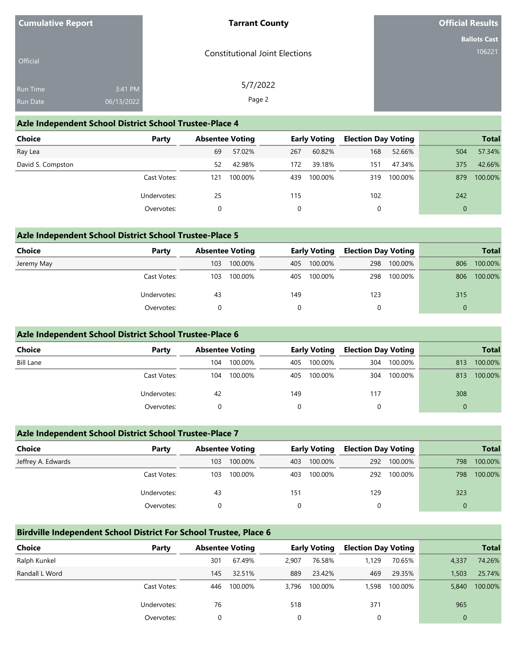| <b>Cumulative Report</b> |                       | <b>Tarrant County</b>                 | <b>Official Results</b>       |
|--------------------------|-----------------------|---------------------------------------|-------------------------------|
| Official                 |                       | <b>Constitutional Joint Elections</b> | <b>Ballots Cast</b><br>106221 |
| Run Time<br>Run Date     | 3:41 PM<br>06/13/2022 | 5/7/2022<br>Page 2                    |                               |

### **Azle Independent School District School Trustee-Place 4**

| Choice            | Party       | <b>Absentee Voting</b> |         |     | <b>Early Voting</b> | <b>Election Day Voting</b> |         |     | <b>Total</b> |
|-------------------|-------------|------------------------|---------|-----|---------------------|----------------------------|---------|-----|--------------|
| Ray Lea           |             | 69                     | 57.02%  | 267 | 60.82%              | 168                        | 52.66%  | 504 | 57.34%       |
| David S. Compston |             | 52                     | 42.98%  | 172 | 39.18%              | 151                        | 47.34%  | 375 | 42.66%       |
|                   | Cast Votes: | 121                    | 100.00% | 439 | 100.00%             | 319                        | 100.00% | 879 | 100.00%      |
|                   | Undervotes: | 25                     |         | 115 |                     | 102                        |         | 242 |              |
|                   | Overvotes:  |                        |         | 0   |                     |                            |         |     |              |

### **Azle Independent School District School Trustee-Place 5**

| Choice     | Party       |     | <b>Absentee Voting</b> |          | <b>Early Voting</b> | <b>Election Day Voting</b> |         |     | <b>Total</b> |
|------------|-------------|-----|------------------------|----------|---------------------|----------------------------|---------|-----|--------------|
| Jeremy May |             | 103 | 100.00%                | 405      | 100.00%             | 298                        | 100.00% | 806 | 100.00%      |
|            | Cast Votes: | 103 | 100.00%                | 405      | 100.00%             | 298                        | 100.00% | 806 | 100.00%      |
|            | Undervotes: | 43  |                        | 149      |                     | 123                        |         | 315 |              |
|            | Overvotes:  |     |                        | $\Omega$ |                     |                            |         | 0   |              |

#### **Azle Independent School District School Trustee-Place 6**

| Choice           | Party       |     | <b>Absentee Voting</b> |     | <b>Early Voting</b> | <b>Election Day Voting</b> |         |     | <b>Total</b> |
|------------------|-------------|-----|------------------------|-----|---------------------|----------------------------|---------|-----|--------------|
| <b>Bill Lane</b> |             | 104 | 100.00%                | 405 | 100.00%             | 304                        | 100.00% | 813 | 100.00%      |
|                  | Cast Votes: | 104 | 100.00%                | 405 | 100.00%             | 304                        | 100.00% | 813 | 100.00%      |
|                  | Undervotes: | -42 |                        | 149 |                     | 117                        |         | 308 |              |
|                  | Overvotes:  |     |                        |     |                     |                            |         | 0   |              |

### **Azle Independent School District School Trustee-Place 7**

| <b>Choice</b>      | Party       |     | <b>Absentee Voting</b> |     | <b>Early Voting</b> | <b>Election Day Voting</b> |             |          | <b>Total</b> |
|--------------------|-------------|-----|------------------------|-----|---------------------|----------------------------|-------------|----------|--------------|
| Jeffrey A. Edwards |             | 103 | 100.00%                | 403 | 100.00%             |                            | 292 100.00% | 798      | 100.00%      |
|                    | Cast Votes: | 103 | 100.00%                | 403 | 100.00%             |                            | 292 100.00% | 798      | 100.00%      |
|                    | Undervotes: | 43  |                        | 151 |                     | 129                        |             | 323      |              |
|                    | Overvotes:  |     |                        |     |                     |                            |             | $\Omega$ |              |

### **Birdville Independent School District For School Trustee, Place 6**

| Choice         | Party       | <b>Absentee Voting</b> |         |       | <b>Early Voting</b> | <b>Election Day Voting</b> |         |                | <b>Total</b> |
|----------------|-------------|------------------------|---------|-------|---------------------|----------------------------|---------|----------------|--------------|
| Ralph Kunkel   |             | 301                    | 67.49%  | 2.907 | 76.58%              | 1.129                      | 70.65%  | 4,337          | 74.26%       |
| Randall L Word |             | 145                    | 32.51%  | 889   | 23.42%              | 469                        | 29.35%  | 1,503          | 25.74%       |
|                | Cast Votes: | 446                    | 100.00% | 3.796 | 100.00%             | 1,598                      | 100.00% | 5,840          | 100.00%      |
|                | Undervotes: | 76                     |         | 518   |                     | 371                        |         | 965            |              |
|                | Overvotes:  |                        |         | 0     |                     |                            |         | $\overline{0}$ |              |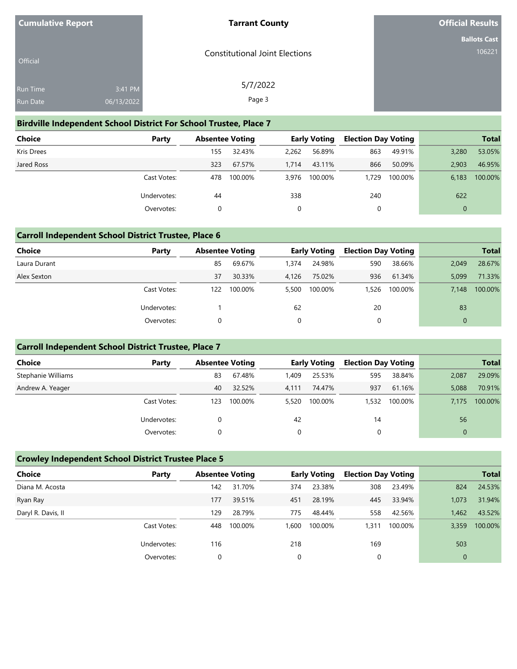| <b>Cumulative Report</b> |                       | <b>Tarrant County</b>                 | <b>Official Results</b>       |
|--------------------------|-----------------------|---------------------------------------|-------------------------------|
| Official                 |                       | <b>Constitutional Joint Elections</b> | <b>Ballots Cast</b><br>106221 |
| Run Time<br>Run Date     | 3:41 PM<br>06/13/2022 | 5/7/2022<br>Page 3                    |                               |

### **Birdville Independent School District For School Trustee, Place 7**

| Choice            | Party       |     | <b>Absentee Voting</b> |       | <b>Early Voting</b> | <b>Election Day Voting</b> |         |              | <b>Total</b> |
|-------------------|-------------|-----|------------------------|-------|---------------------|----------------------------|---------|--------------|--------------|
| <b>Kris Drees</b> |             | 155 | 32.43%                 | 2.262 | 56.89%              | 863                        | 49.91%  | 3,280        | 53.05%       |
| Jared Ross        |             | 323 | 67.57%                 | 1.714 | 43.11%              | 866                        | 50.09%  | 2.903        | 46.95%       |
|                   | Cast Votes: | 478 | 100.00%                | 3.976 | 100.00%             | 1,729                      | 100.00% | 6,183        | 100.00%      |
|                   | Undervotes: | 44  |                        | 338   |                     | 240                        |         | 622          |              |
|                   | Overvotes:  | 0   |                        |       |                     | 0                          |         | $\mathbf{0}$ |              |

### **Carroll Independent School District Trustee, Place 6**

| <b>Choice</b> | Party       | <b>Absentee Voting</b> |         |       | <b>Early Voting</b> | <b>Election Day Voting</b> |         |          | <b>Total</b> |
|---------------|-------------|------------------------|---------|-------|---------------------|----------------------------|---------|----------|--------------|
| Laura Durant  |             | 85                     | 69.67%  | 1,374 | 24.98%              | 590                        | 38.66%  | 2.049    | 28.67%       |
| Alex Sexton   |             | 37                     | 30.33%  | 4.126 | 75.02%              | 936                        | 61.34%  | 5.099    | 71.33%       |
|               | Cast Votes: | 122                    | 100.00% | 5,500 | 100.00%             | 1,526                      | 100.00% | 7.148    | 100.00%      |
|               | Undervotes: |                        |         | 62    |                     | 20                         |         | 83       |              |
|               | Overvotes:  |                        |         | 0     |                     | 0                          |         | $\Omega$ |              |

### **Carroll Independent School District Trustee, Place 7**

| <b>Choice</b>      | Party       | <b>Absentee Voting</b> |         |       | <b>Early Voting</b> | <b>Election Day Voting</b> |         |       | <b>Total</b> |
|--------------------|-------------|------------------------|---------|-------|---------------------|----------------------------|---------|-------|--------------|
| Stephanie Williams |             | 83                     | 67.48%  | 1,409 | 25.53%              | 595                        | 38.84%  | 2,087 | 29.09%       |
| Andrew A. Yeager   |             | 40                     | 32.52%  | 4.111 | 74.47%              | 937                        | 61.16%  | 5.088 | 70.91%       |
|                    | Cast Votes: | 123                    | 100.00% | 5,520 | 100.00%             | 1,532                      | 100.00% | 7.175 | 100.00%      |
|                    | Undervotes: |                        |         | 42    |                     | 14                         |         | 56    |              |
|                    | Overvotes:  |                        |         |       |                     |                            |         |       |              |

### **Crowley Independent School District Trustee Place 5**

| <b>Choice</b>      | Party       | <b>Absentee Voting</b> |         |      | <b>Early Voting</b> | <b>Election Day Voting</b> |         |                | <b>Total</b> |
|--------------------|-------------|------------------------|---------|------|---------------------|----------------------------|---------|----------------|--------------|
| Diana M. Acosta    |             | 142                    | 31.70%  | 374  | 23.38%              | 308                        | 23.49%  | 824            | 24.53%       |
| Ryan Ray           |             | 177                    | 39.51%  | 451  | 28.19%              | 445                        | 33.94%  | 1,073          | 31.94%       |
| Daryl R. Davis, II |             | 129                    | 28.79%  | 775  | 48.44%              | 558                        | 42.56%  | 1,462          | 43.52%       |
|                    | Cast Votes: | 448                    | 100.00% | .600 | 100.00%             | .311                       | 100.00% | 3,359          | 100.00%      |
|                    | Undervotes: | 116                    |         | 218  |                     | 169                        |         | 503            |              |
|                    | Overvotes:  |                        |         | 0    |                     | $\Omega$                   |         | $\overline{0}$ |              |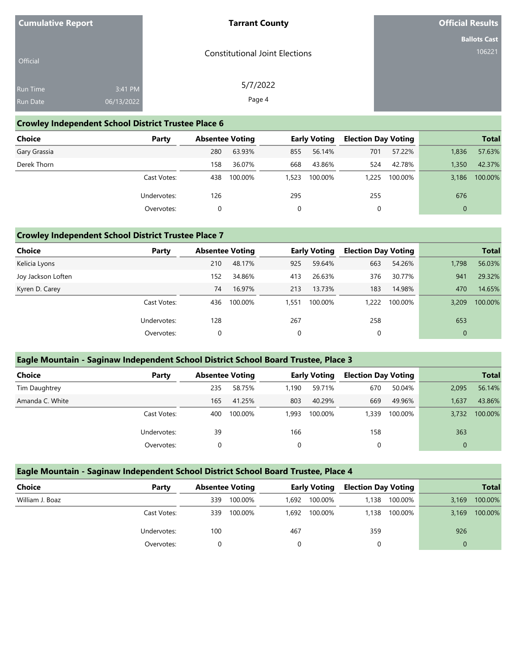| <b>Cumulative Report</b> |            | <b>Tarrant County</b>                 | <b>Official Results</b>       |
|--------------------------|------------|---------------------------------------|-------------------------------|
|                          |            |                                       | <b>Ballots Cast</b><br>106221 |
| Official                 |            | <b>Constitutional Joint Elections</b> |                               |
| Run Time                 | 3:41 PM    | 5/7/2022                              |                               |
| Run Date                 | 06/13/2022 | Page 4                                |                               |

### **Crowley Independent School District Trustee Place 6**

| <b>Choice</b> | Party       | <b>Absentee Voting</b> |         |       | <b>Early Voting</b> | <b>Election Day Voting</b> |         |              | <b>Total</b> |
|---------------|-------------|------------------------|---------|-------|---------------------|----------------------------|---------|--------------|--------------|
| Gary Grassia  |             | 280                    | 63.93%  | 855   | 56.14%              | 701                        | 57.22%  | 1,836        | 57.63%       |
| Derek Thorn   |             | 158                    | 36.07%  | 668   | 43.86%              | 524                        | 42.78%  | 1,350        | 42.37%       |
|               | Cast Votes: | 438                    | 100.00% | 1,523 | 100.00%             | 1.225                      | 100.00% | 3.186        | 100.00%      |
|               | Undervotes: | 126                    |         | 295   |                     | 255                        |         | 676          |              |
|               | Overvotes:  | 0                      |         |       |                     | 0                          |         | $\mathbf{0}$ |              |

### **Crowley Independent School District Trustee Place 7**

| Choice             | Party       |     | <b>Absentee Voting</b> |       | <b>Early Voting</b> | <b>Election Day Voting</b> |         |              | <b>Total</b> |
|--------------------|-------------|-----|------------------------|-------|---------------------|----------------------------|---------|--------------|--------------|
| Kelicia Lyons      |             | 210 | 48.17%                 | 925   | 59.64%              | 663                        | 54.26%  | 1.798        | 56.03%       |
| Joy Jackson Loften |             | 152 | 34.86%                 | 413   | 26.63%              | 376                        | 30.77%  | 941          | 29.32%       |
| Kyren D. Carey     |             | 74  | 16.97%                 | 213   | 13.73%              | 183                        | 14.98%  | 470          | 14.65%       |
|                    | Cast Votes: | 436 | 100.00%                | 1.551 | 100.00%             | 1,222                      | 100.00% | 3,209        | 100.00%      |
|                    | Undervotes: | 128 |                        | 267   |                     | 258                        |         | 653          |              |
|                    | Overvotes:  | 0   |                        | 0     |                     | 0                          |         | $\mathbf{0}$ |              |

### **Eagle Mountain - Saginaw Independent School District School Board Trustee, Place 3**

| <b>Choice</b>   | Party       | <b>Absentee Voting</b> |         |       | <b>Early Voting</b> | <b>Election Day Voting</b> |         |          | <b>Total</b> |
|-----------------|-------------|------------------------|---------|-------|---------------------|----------------------------|---------|----------|--------------|
| Tim Daughtrey   |             | 235                    | 58.75%  | 1.190 | 59.71%              | 670                        | 50.04%  | 2,095    | 56.14%       |
| Amanda C. White |             | 165                    | 41.25%  | 803   | 40.29%              | 669                        | 49.96%  | 1,637    | 43.86%       |
|                 | Cast Votes: | 400                    | 100.00% | 1.993 | 100.00%             | 1,339                      | 100.00% | 3.732    | 100.00%      |
|                 | Undervotes: | 39                     |         | 166   |                     | 158                        |         | 363      |              |
|                 | Overvotes:  |                        |         | 0     |                     | 0                          |         | $\Omega$ |              |

## **Eagle Mountain - Saginaw Independent School District School Board Trustee, Place 4**

| <b>Choice</b>   | Party       |     | <b>Absentee Voting</b> |       | <b>Early Voting</b> |       | <b>Election Day Voting</b> |       | <b>Total</b> |
|-----------------|-------------|-----|------------------------|-------|---------------------|-------|----------------------------|-------|--------------|
| William J. Boaz |             | 339 | 100.00%                | 1.692 | 100.00%             | .138  | 100.00%                    | 3,169 | 100.00%      |
|                 | Cast Votes: | 339 | 100.00%                | 1.692 | 100.00%             | 1.138 | 100.00%                    | 3,169 | 100.00%      |
|                 | Undervotes: | 100 |                        | 467   |                     | 359   |                            | 926   |              |
|                 | Overvotes:  |     |                        |       |                     |       |                            | 0     |              |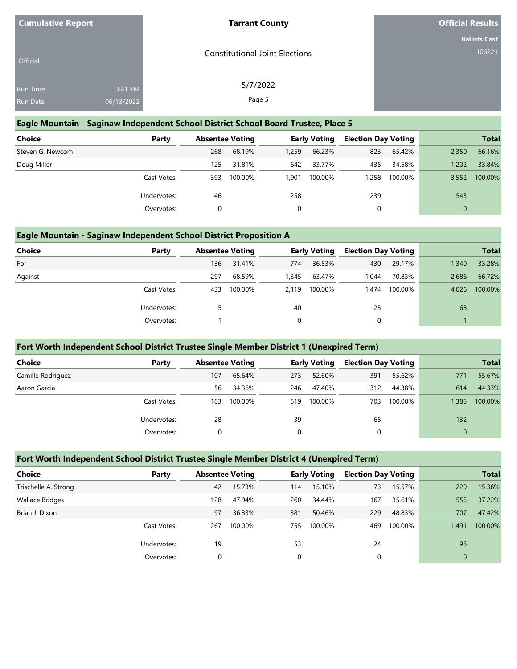| <b>Cumulative Report</b>      | <b>Tarrant County</b>                 | <b>Official Results</b> |
|-------------------------------|---------------------------------------|-------------------------|
|                               |                                       | <b>Ballots Cast</b>     |
| <b>Official</b>               | <b>Constitutional Joint Elections</b> | 106221                  |
|                               |                                       |                         |
| 3:41 PM<br><b>Run Time</b>    | 5/7/2022                              |                         |
| <b>Run Date</b><br>06/13/2022 | Page 5                                |                         |

#### **Eagle Mountain - Saginaw Independent School District School Board Trustee, Place 5**

| Choice           | Party       | <b>Absentee Voting</b> |         |          | <b>Early Voting</b> | <b>Election Day Voting</b> |         |       | <b>Total</b> |
|------------------|-------------|------------------------|---------|----------|---------------------|----------------------------|---------|-------|--------------|
| Steven G. Newcom |             | 268                    | 68.19%  | 1,259    | 66.23%              | 823                        | 65.42%  | 2,350 | 66.16%       |
| Doug Miller      |             | 125                    | 31.81%  | 642      | 33.77%              | 435                        | 34.58%  | 1.202 | 33.84%       |
|                  | Cast Votes: | 393                    | 100.00% | 901.ا    | 100.00%             | .258                       | 100.00% | 3,552 | 100.00%      |
|                  | Undervotes: | 46                     |         | 258      |                     | 239                        |         | 543   |              |
|                  | Overvotes:  |                        |         | $\Omega$ |                     |                            |         |       |              |

### **Eagle Mountain - Saginaw Independent School District Proposition A**

| <b>Choice</b> | Party       | <b>Absentee Voting</b> |         |       | <b>Early Voting</b> | <b>Election Day Voting</b> |         |       | <b>Total</b> |
|---------------|-------------|------------------------|---------|-------|---------------------|----------------------------|---------|-------|--------------|
| For           |             | 136                    | 31.41%  | 774   | 36.53%              | 430                        | 29.17%  | 1,340 | 33.28%       |
| Against       |             | 297                    | 68.59%  | 1,345 | 63.47%              | 1.044                      | 70.83%  | 2.686 | 66.72%       |
|               | Cast Votes: | 433                    | 100.00% | 2.119 | 100.00%             | 1.474                      | 100.00% | 4,026 | 100.00%      |
|               | Undervotes: |                        |         | 40    |                     | 23                         |         | 68    |              |
|               | Overvotes:  |                        |         |       |                     | 0                          |         |       |              |

### **Fort Worth Independent School District Trustee Single Member District 1 (Unexpired Term)**

| <b>Choice</b>     | Party       | <b>Absentee Voting</b> |         |     | <b>Early Voting</b> | <b>Election Day Voting</b> |         |              | <b>Total</b> |
|-------------------|-------------|------------------------|---------|-----|---------------------|----------------------------|---------|--------------|--------------|
| Camille Rodriguez |             | 107                    | 65.64%  | 273 | 52.60%              | 391                        | 55.62%  | 771          | 55.67%       |
| Aaron Garcia      |             | 56                     | 34.36%  | 246 | 47.40%              | 312                        | 44.38%  | 614          | 44.33%       |
|                   | Cast Votes: | 163                    | 100.00% | 519 | 100.00%             | 703                        | 100.00% | 1,385        | 100.00%      |
|                   | Undervotes: | 28                     |         | 39  |                     | 65                         |         | 132          |              |
|                   | Overvotes:  | 0                      |         | 0   |                     | 0                          |         | $\mathbf{0}$ |              |

### **Fort Worth Independent School District Trustee Single Member District 4 (Unexpired Term)**

| Choice                 | Party       | <b>Absentee Voting</b> |         |     | <b>Early Voting</b> | <b>Election Day Voting</b> |         |                | <b>Total</b> |
|------------------------|-------------|------------------------|---------|-----|---------------------|----------------------------|---------|----------------|--------------|
| Trischelle A. Strong   |             | 42                     | 15.73%  | 114 | 15.10%              | 73                         | 15.57%  | 229            | 15.36%       |
| <b>Wallace Bridges</b> |             | 128                    | 47.94%  | 260 | 34.44%              | 167                        | 35.61%  | 555            | 37.22%       |
| Brian J. Dixon         |             | 97                     | 36.33%  | 381 | 50.46%              | 229                        | 48.83%  | 707            | 47.42%       |
|                        | Cast Votes: | 267                    | 100.00% | 755 | 100.00%             | 469                        | 100.00% | 1,491          | 100.00%      |
|                        | Undervotes: | 19                     |         | 53  |                     | 24                         |         | 96             |              |
|                        | Overvotes:  |                        |         | 0   |                     |                            |         | $\overline{0}$ |              |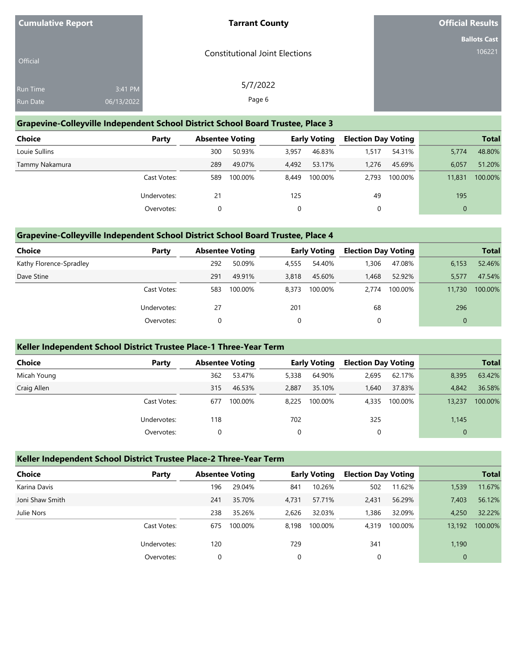| <b>Cumulative Report</b> |                       | <b>Tarrant County</b>                 | <b>Official Results</b>       |
|--------------------------|-----------------------|---------------------------------------|-------------------------------|
| Official                 |                       | <b>Constitutional Joint Elections</b> | <b>Ballots Cast</b><br>106221 |
| Run Time<br>Run Date     | 3:41 PM<br>06/13/2022 | 5/7/2022<br>Page 6                    |                               |

### **Grapevine-Colleyville Independent School District School Board Trustee, Place 3**

| Choice         | Party       | <b>Absentee Voting</b> |         |       | <b>Early Voting</b> | <b>Election Day Voting</b> |         |              | <b>Total</b> |
|----------------|-------------|------------------------|---------|-------|---------------------|----------------------------|---------|--------------|--------------|
| Louie Sullins  |             | 300                    | 50.93%  | 3,957 | 46.83%              | 1,517                      | 54.31%  | 5,774        | 48.80%       |
| Tammy Nakamura |             | 289                    | 49.07%  | 4.492 | 53.17%              | 1.276                      | 45.69%  | 6.057        | 51.20%       |
|                | Cast Votes: | 589                    | 100.00% | 8.449 | 100.00%             | 2.793                      | 100.00% | 11,831       | 100.00%      |
|                | Undervotes: | 21                     |         | 125   |                     | 49                         |         | 195          |              |
|                | Overvotes:  | 0                      |         |       |                     | 0                          |         | $\mathbf{0}$ |              |

### **Grapevine-Colleyville Independent School District School Board Trustee, Place 4**

| Choice                  | Party       | <b>Absentee Voting</b> |         |       | <b>Early Voting</b> | <b>Election Day Voting</b> |         |              | <b>Total</b> |
|-------------------------|-------------|------------------------|---------|-------|---------------------|----------------------------|---------|--------------|--------------|
| Kathy Florence-Spradley |             | 292                    | 50.09%  | 4,555 | 54.40%              | .306                       | 47.08%  | 6,153        | 52.46%       |
| Dave Stine              |             | 291                    | 49.91%  | 3,818 | 45.60%              | 1.468                      | 52.92%  | 5,577        | 47.54%       |
|                         | Cast Votes: | 583                    | 100.00% | 8.373 | 100.00%             | 2.774                      | 100.00% | 11,730       | 100.00%      |
|                         | Undervotes: | 27                     |         | 201   |                     | 68                         |         | 296          |              |
|                         | Overvotes:  | 0                      |         |       |                     | 0                          |         | $\mathbf{0}$ |              |

### **Keller Independent School District Trustee Place-1 Three-Year Term**

| <b>Choice</b> | Party       | <b>Absentee Voting</b> |         |       | <b>Early Voting</b> | <b>Election Day Voting</b> |         |             | <b>Total</b> |
|---------------|-------------|------------------------|---------|-------|---------------------|----------------------------|---------|-------------|--------------|
| Micah Young   |             | 362                    | 53.47%  | 5,338 | 64.90%              | 2,695                      | 62.17%  | 8,395       | 63.42%       |
| Craig Allen   |             | 315                    | 46.53%  | 2.887 | 35.10%              | 1.640                      | 37.83%  | 4.842       | 36.58%       |
|               | Cast Votes: | 677                    | 100.00% | 8.225 | 100.00%             | 4,335                      | 100.00% | 13,237      | 100.00%      |
|               | Undervotes: | 118                    |         | 702   |                     | 325                        |         | 1,145       |              |
|               | Overvotes:  |                        |         | 0     |                     | 0                          |         | $\mathbf 0$ |              |

### **Keller Independent School District Trustee Place-2 Three-Year Term**

| <b>Choice</b>   | Party       | <b>Absentee Voting</b> |         |       | <b>Early Voting</b> | <b>Election Day Voting</b> |         |              | <b>Total</b> |
|-----------------|-------------|------------------------|---------|-------|---------------------|----------------------------|---------|--------------|--------------|
| Karina Davis    |             | 196                    | 29.04%  | 841   | 10.26%              | 502                        | 11.62%  | 1,539        | 11.67%       |
| Joni Shaw Smith |             | 241                    | 35.70%  | 4,731 | 57.71%              | 2,431                      | 56.29%  | 7,403        | 56.12%       |
| Julie Nors      |             | 238                    | 35.26%  | 2.626 | 32.03%              | ,386                       | 32.09%  | 4.250        | 32.22%       |
|                 | Cast Votes: | 675                    | 100.00% | 8.198 | 100.00%             | 4.319                      | 100.00% | 13,192       | 100.00%      |
|                 | Undervotes: | 120                    |         | 729   |                     | 341                        |         | 1,190        |              |
|                 | Overvotes:  | 0                      |         | 0     |                     | 0                          |         | $\mathbf{0}$ |              |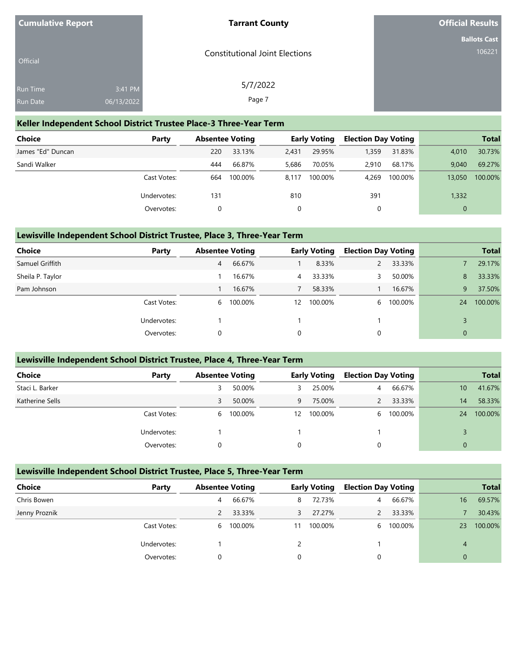| <b>Cumulative Report</b> |            | <b>Tarrant County</b>                 | <b>Official Results</b> |
|--------------------------|------------|---------------------------------------|-------------------------|
|                          |            |                                       | <b>Ballots Cast</b>     |
| Official                 |            | <b>Constitutional Joint Elections</b> | 106221                  |
| Run Time                 | 3:41 PM    | 5/7/2022                              |                         |
| Run Date                 | 06/13/2022 | Page 7                                |                         |

### **Keller Independent School District Trustee Place-3 Three-Year Term**

| <b>Choice</b>     | Party       | <b>Absentee Voting</b> |         |       | <b>Early Voting</b> | <b>Election Day Voting</b> |         |              | <b>Total</b> |
|-------------------|-------------|------------------------|---------|-------|---------------------|----------------------------|---------|--------------|--------------|
| James "Ed" Duncan |             | 220                    | 33.13%  | 2,431 | 29.95%              | 1,359                      | 31.83%  | 4.010        | 30.73%       |
| Sandi Walker      |             | 444                    | 66.87%  | 5,686 | 70.05%              | 2.910                      | 68.17%  | 9.040        | 69.27%       |
|                   | Cast Votes: | 664                    | 100.00% | 8.117 | 100.00%             | 4.269                      | 100.00% | 13,050       | 100.00%      |
|                   | Undervotes: | 131                    |         | 810   |                     | 391                        |         | 1,332        |              |
|                   | Overvotes:  |                        |         |       |                     | 0                          |         | $\mathbf{0}$ |              |

### **Lewisville Independent School District Trustee, Place 3, Three-Year Term**

| <b>Choice</b>    | Party       | <b>Absentee Voting</b> |           |                | <b>Early Voting</b> | <b>Election Day Voting</b> |         |              | <b>Total</b> |
|------------------|-------------|------------------------|-----------|----------------|---------------------|----------------------------|---------|--------------|--------------|
| Samuel Griffith  |             | 4                      | 66.67%    |                | 8.33%               |                            | 33.33%  |              | 29.17%       |
| Sheila P. Taylor |             |                        | 16.67%    | $\overline{4}$ | 33.33%              |                            | 50.00%  | 8            | 33.33%       |
| Pam Johnson      |             |                        | 16.67%    |                | 58.33%              |                            | 16.67%  | 9            | 37.50%       |
|                  | Cast Votes: |                        | 6 100.00% | 12             | 100.00%             | 6                          | 100.00% | 24           | 100.00%      |
|                  | Undervotes: |                        |           |                |                     |                            |         |              |              |
|                  | Overvotes:  | 0                      |           | 0              |                     | 0                          |         | $\mathbf{0}$ |              |

#### **Lewisville Independent School District Trustee, Place 4, Three-Year Term**

| Choice          | Party       | <b>Absentee Voting</b> |         |    | <b>Early Voting</b> | <b>Election Day Voting</b> |         |                 | <b>Total</b> |
|-----------------|-------------|------------------------|---------|----|---------------------|----------------------------|---------|-----------------|--------------|
| Staci L. Barker |             | 3                      | 50.00%  | 3  | 25.00%              | 4                          | 66.67%  | 10 <sup>°</sup> | 41.67%       |
| Katherine Sells |             | 3                      | 50.00%  | 9  | 75.00%              |                            | 33.33%  | 14              | 58.33%       |
|                 | Cast Votes: | 6                      | 100.00% | 12 | 100.00%             | 6                          | 100.00% | 24              | 100.00%      |
|                 | Undervotes: |                        |         |    |                     |                            |         |                 |              |
|                 | Overvotes:  | $\Omega$               |         | 0  |                     | 0                          |         | $\Omega$        |              |

#### **Lewisville Independent School District Trustee, Place 5, Three-Year Term**

| Choice<br>Party | <b>Absentee Voting</b> |         |    | <b>Early Voting</b> | <b>Election Day Voting</b> |         |                | <b>Total</b> |
|-----------------|------------------------|---------|----|---------------------|----------------------------|---------|----------------|--------------|
| Chris Bowen     | 4                      | 66.67%  | 8  | 72.73%              | 4                          | 66.67%  | 16             | 69.57%       |
| Jenny Proznik   |                        | 33.33%  | 3  | 27.27%              |                            | 33.33%  |                | 30.43%       |
| Cast Votes:     | 6                      | 100.00% | 11 | 100.00%             | <sub>6</sub>               | 100.00% | 23             | 100.00%      |
| Undervotes:     |                        |         |    |                     |                            |         | 4              |              |
| Overvotes:      |                        |         | 0  |                     |                            |         | $\overline{0}$ |              |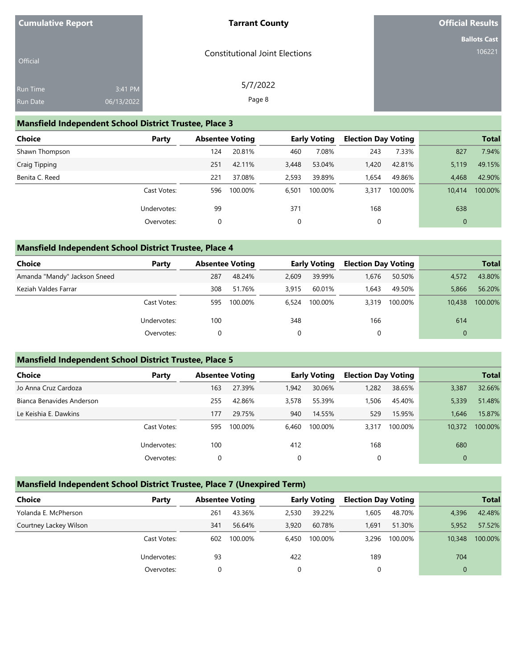| <b>Cumulative Report</b> |                       | <b>Tarrant County</b>                 | <b>Official Results</b>       |
|--------------------------|-----------------------|---------------------------------------|-------------------------------|
| Official                 |                       | <b>Constitutional Joint Elections</b> | <b>Ballots Cast</b><br>106221 |
| Run Time<br>Run Date     | 3:41 PM<br>06/13/2022 | 5/7/2022<br>Page 8                    |                               |

### **Mansfield Independent School District Trustee, Place 3**

| <b>Choice</b>  | Party       | <b>Absentee Voting</b> |         |       | <b>Early Voting</b> | <b>Election Day Voting</b> |         |              | <b>Total</b> |
|----------------|-------------|------------------------|---------|-------|---------------------|----------------------------|---------|--------------|--------------|
| Shawn Thompson |             | 124                    | 20.81%  | 460   | 7.08%               | 243                        | 7.33%   | 827          | 7.94%        |
| Craig Tipping  |             | 251                    | 42.11%  | 3,448 | 53.04%              | 1,420                      | 42.81%  | 5,119        | 49.15%       |
| Benita C. Reed |             | 221                    | 37.08%  | 2,593 | 39.89%              | 1.654                      | 49.86%  | 4.468        | 42.90%       |
|                | Cast Votes: | 596                    | 100.00% | 6,501 | 100.00%             | 3,317                      | 100.00% | 10.414       | 100.00%      |
|                | Undervotes: | 99                     |         | 371   |                     | 168                        |         | 638          |              |
|                | Overvotes:  | 0                      |         | 0     |                     | 0                          |         | $\mathbf{0}$ |              |

# **Mansfield Independent School District Trustee, Place 4**

| <b>Choice</b>                | Party       | <b>Absentee Voting</b> |         |       | <b>Early Voting</b> | <b>Election Day Voting</b> |         |          | <b>Total</b> |
|------------------------------|-------------|------------------------|---------|-------|---------------------|----------------------------|---------|----------|--------------|
| Amanda "Mandy" Jackson Sneed |             | 287                    | 48.24%  | 2.609 | 39.99%              | 1.676                      | 50.50%  | 4,572    | 43.80%       |
| Keziah Valdes Farrar         |             | 308                    | 51.76%  | 3,915 | 60.01%              | 1,643                      | 49.50%  | 5,866    | 56.20%       |
|                              | Cast Votes: | 595                    | 100.00% | 6.524 | 100.00%             | 3.319                      | 100.00% | 10,438   | 100.00%      |
|                              | Undervotes: | 100                    |         | 348   |                     | 166                        |         | 614      |              |
|                              | Overvotes:  | 0                      |         | 0     |                     | U                          |         | $\Omega$ |              |

## **Mansfield Independent School District Trustee, Place 5**

| <b>Choice</b>             | Party       | <b>Absentee Voting</b> |         |       | <b>Early Voting</b> | <b>Election Day Voting</b> |         |              | <b>Total</b> |
|---------------------------|-------------|------------------------|---------|-------|---------------------|----------------------------|---------|--------------|--------------|
| Jo Anna Cruz Cardoza      |             | 163                    | 27.39%  | 1.942 | 30.06%              | 1,282                      | 38.65%  | 3,387        | 32.66%       |
| Bianca Benavides Anderson |             | 255                    | 42.86%  | 3,578 | 55.39%              | 1,506                      | 45.40%  | 5,339        | 51.48%       |
| Le Keishia E. Dawkins     |             | 177                    | 29.75%  | 940   | 14.55%              | 529                        | 15.95%  | 1.646        | 15.87%       |
|                           | Cast Votes: | 595                    | 100.00% | 6,460 | 100.00%             | 3.317                      | 100.00% | 10,372       | 100.00%      |
|                           | Undervotes: | 100                    |         | 412   |                     | 168                        |         | 680          |              |
|                           | Overvotes:  | 0                      |         | 0     |                     | 0                          |         | $\mathbf{0}$ |              |

### **Mansfield Independent School District Trustee, Place 7 (Unexpired Term)**

| <b>Choice</b>          | Party       | <b>Absentee Voting</b> |         |       | <b>Early Voting</b> | <b>Election Day Voting</b> |         |        | <b>Total</b> |
|------------------------|-------------|------------------------|---------|-------|---------------------|----------------------------|---------|--------|--------------|
| Yolanda E. McPherson   |             | 261                    | 43.36%  | 2.530 | 39.22%              | 1.605                      | 48.70%  | 4,396  | 42.48%       |
| Courtney Lackey Wilson |             | 341                    | 56.64%  | 3,920 | 60.78%              | 1,691                      | 51.30%  | 5.952  | 57.52%       |
|                        | Cast Votes: | 602                    | 100.00% | 6.450 | 100.00%             | 3,296                      | 100.00% | 10,348 | 100.00%      |
|                        | Undervotes: | 93                     |         | 422   |                     | 189                        |         | 704    |              |
|                        | Overvotes:  |                        |         | 0     |                     |                            |         |        |              |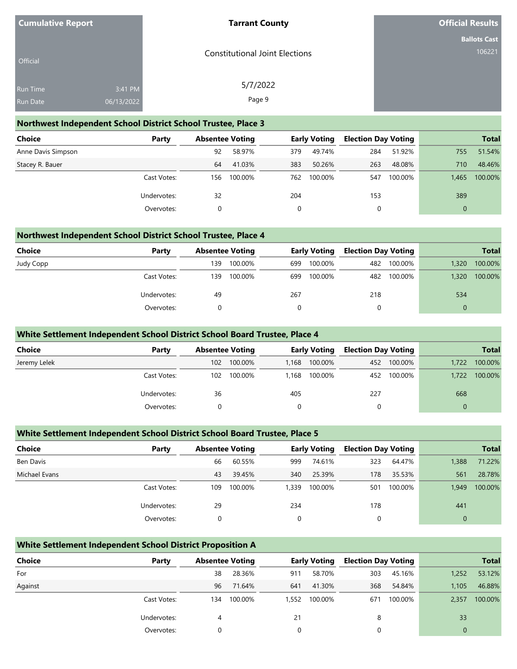| <b>Cumulative Report</b> |                       | <b>Tarrant County</b>                 | <b>Official Results</b>       |
|--------------------------|-----------------------|---------------------------------------|-------------------------------|
| Official                 |                       | <b>Constitutional Joint Elections</b> | <b>Ballots Cast</b><br>106221 |
| Run Time<br>Run Date     | 3:41 PM<br>06/13/2022 | 5/7/2022<br>Page 9                    |                               |

#### **Northwest Independent School District School Trustee, Place 3**

| <b>Choice</b>      | Party       | <b>Absentee Voting</b> |         |     | <b>Early Voting</b> | <b>Election Day Voting</b> |         |          | <b>Total</b> |
|--------------------|-------------|------------------------|---------|-----|---------------------|----------------------------|---------|----------|--------------|
| Anne Davis Simpson |             | 92                     | 58.97%  | 379 | 49.74%              | 284                        | 51.92%  | 755      | 51.54%       |
| Stacey R. Bauer    |             | 64                     | 41.03%  | 383 | 50.26%              | 263                        | 48.08%  | 710      | 48.46%       |
|                    | Cast Votes: | 156                    | 100.00% | 762 | 100.00%             | 547                        | 100.00% | 1.465    | 100.00%      |
|                    | Undervotes: | 32                     |         | 204 |                     | 153                        |         | 389      |              |
|                    | Overvotes:  |                        |         |     |                     | 0                          |         | $\Omega$ |              |

### **Northwest Independent School District School Trustee, Place 4**

| <b>Choice</b> | Party       | <b>Absentee Voting</b> |         | <b>Early Voting</b> |         | <b>Election Day Voting</b> |         |              | <b>Total</b> |
|---------------|-------------|------------------------|---------|---------------------|---------|----------------------------|---------|--------------|--------------|
| Judy Copp     |             | 139                    | 100.00% | 699                 | 100.00% | 482                        | 100.00% | 1,320        | 100.00%      |
|               | Cast Votes: | 139                    | 100.00% | 699                 | 100.00% | 482                        | 100.00% | 1,320        | 100.00%      |
|               | Undervotes: | 49                     |         | 267                 |         | 218                        |         | 534          |              |
|               | Overvotes:  |                        |         |                     |         | 0                          |         | $\mathbf{0}$ |              |

#### **White Settlement Independent School District School Board Trustee, Place 4**

| Choice       | Party       | <b>Absentee Voting</b> |         | <b>Early Voting</b> |         | <b>Election Day Voting</b> |             |       | <b>Total</b> |
|--------------|-------------|------------------------|---------|---------------------|---------|----------------------------|-------------|-------|--------------|
| Jeremy Lelek |             | 102 <sub>1</sub>       | 100.00% | 1.168               | 100.00% |                            | 452 100.00% | 1,722 | 100.00%      |
|              | Cast Votes: | 102                    | 100.00% | 1,168               | 100.00% |                            | 452 100.00% | 1.722 | 100.00%      |
|              | Undervotes: | 36                     |         | 405                 |         | 227                        |             | 668   |              |
|              | Overvotes:  |                        |         |                     |         |                            |             | 0     |              |

### **White Settlement Independent School District School Board Trustee, Place 5**

| Choice        | Party       |     | <b>Absentee Voting</b> |       | <b>Early Voting</b> | <b>Election Day Voting</b> |         |              | <b>Total</b> |
|---------------|-------------|-----|------------------------|-------|---------------------|----------------------------|---------|--------------|--------------|
| Ben Davis     |             | 66  | 60.55%                 | 999   | 74.61%              | 323                        | 64.47%  | 1,388        | 71.22%       |
| Michael Evans |             | 43  | 39.45%                 | 340   | 25.39%              | 178                        | 35.53%  | 561          | 28.78%       |
|               | Cast Votes: | 109 | 100.00%                | 1,339 | 100.00%             | 501                        | 100.00% | 1.949        | 100.00%      |
|               | Undervotes: | 29  |                        | 234   |                     | 178                        |         | 441          |              |
|               | Overvotes:  |     |                        | 0     |                     | 0                          |         | $\mathbf{0}$ |              |

#### **White Settlement Independent School District Proposition A**

| <b>Choice</b> | Party       | <b>Absentee Voting</b> |         |       | Early Voting | <b>Election Day Voting</b> |         |              | <b>Total</b> |
|---------------|-------------|------------------------|---------|-------|--------------|----------------------------|---------|--------------|--------------|
| For           |             | 38                     | 28.36%  | 911   | 58.70%       | 303                        | 45.16%  | 1,252        | 53.12%       |
| Against       |             | 96                     | 71.64%  | 641   | 41.30%       | 368                        | 54.84%  | 1.105        | 46.88%       |
|               | Cast Votes: | 134                    | 100.00% | 1,552 | 100.00%      | 671                        | 100.00% | 2,357        | 100.00%      |
|               | Undervotes: | 4                      |         | 21    |              | 8                          |         | 33           |              |
|               | Overvotes:  |                        |         | 0     |              | 0                          |         | $\mathbf{0}$ |              |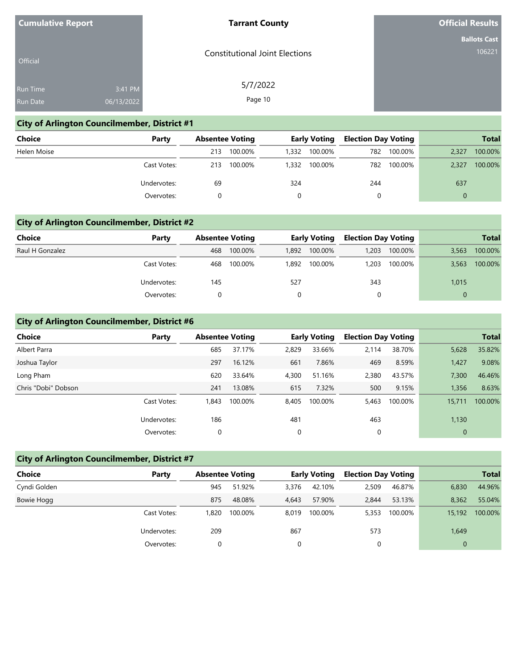| <b>Cumulative Report</b> |  |
|--------------------------|--|
|--------------------------|--|

#### **Tarrant County**

**Official Results**

**Ballots Cast** 106221

| Official        |            | <b>Constitutional Joint Elections</b> |
|-----------------|------------|---------------------------------------|
| <b>Run Time</b> | 3:41 PM    | 5/7/2022                              |
| <b>Run Date</b> | 06/13/2022 | Page 10                               |

### **City of Arlington Councilmember, District #1**

| <b>Choice</b> | Party       |     | <b>Absentee Voting</b> |       | <b>Early Voting</b> | <b>Election Day Voting</b> |         |          | <b>Total</b> |
|---------------|-------------|-----|------------------------|-------|---------------------|----------------------------|---------|----------|--------------|
| Helen Moise   |             | 213 | 100.00%                | 1,332 | 100.00%             | 782                        | 100.00% | 2,327    | 100.00%      |
|               | Cast Votes: | 213 | 100.00%                | 1,332 | 100.00%             | 782                        | 100.00% | 2,327    | 100.00%      |
|               | Undervotes: | 69  |                        | 324   |                     | 244                        |         | 637      |              |
|               | Overvotes:  |     |                        | 0     |                     | 0                          |         | $\Omega$ |              |

#### **City of Arlington Councilmember, District #2**

| <b>Choice</b>   | Party       |     | <b>Absentee Voting</b> |       | Early Voting | <b>Election Day Voting</b> |         |       | <b>Total</b> |
|-----------------|-------------|-----|------------------------|-------|--------------|----------------------------|---------|-------|--------------|
| Raul H Gonzalez |             | 468 | 100.00%                | 1,892 | 100.00%      | 1,203                      | 100.00% | 3.563 | 100.00%      |
|                 | Cast Votes: | 468 | 100.00%                | 1.892 | 100.00%      | 1,203                      | 100.00% | 3,563 | 100.00%      |
|                 | Undervotes: | 145 |                        | 527   |              | 343                        |         | 1,015 |              |
|                 | Overvotes:  |     |                        |       |              |                            |         |       |              |

### **City of Arlington Councilmember, District #6**

| <b>Choice</b>       | Party       |       | <b>Absentee Voting</b> |       | <b>Early Voting</b> | <b>Election Day Voting</b> |         |             | <b>Total</b> |
|---------------------|-------------|-------|------------------------|-------|---------------------|----------------------------|---------|-------------|--------------|
| Albert Parra        |             | 685   | 37.17%                 | 2,829 | 33.66%              | 2.114                      | 38.70%  | 5,628       | 35.82%       |
| Joshua Taylor       |             | 297   | 16.12%                 | 661   | 7.86%               | 469                        | 8.59%   | 1,427       | 9.08%        |
| Long Pham           |             | 620   | 33.64%                 | 4,300 | 51.16%              | 2,380                      | 43.57%  | 7,300       | 46.46%       |
| Chris "Dobi" Dobson |             | 241   | 13.08%                 | 615   | 7.32%               | 500                        | 9.15%   | 1,356       | 8.63%        |
|                     | Cast Votes: | 1.843 | 100.00%                | 8,405 | 100.00%             | 5,463                      | 100.00% | 15,711      | 100.00%      |
|                     | Undervotes: | 186   |                        | 481   |                     | 463                        |         | 1,130       |              |
|                     | Overvotes:  | 0     |                        | 0     |                     | 0                          |         | $\mathbf 0$ |              |

## **City of Arlington Councilmember, District #7**

| <b>Choice</b> | Party       |       | <b>Absentee Voting</b> |       | <b>Early Voting</b> | <b>Election Day Voting</b> |         |                | <b>Total</b> |
|---------------|-------------|-------|------------------------|-------|---------------------|----------------------------|---------|----------------|--------------|
| Cyndi Golden  |             | 945   | 51.92%                 | 3.376 | 42.10%              | 2,509                      | 46.87%  | 6,830          | 44.96%       |
| Bowie Hogg    |             | 875   | 48.08%                 | 4.643 | 57.90%              | 2,844                      | 53.13%  | 8.362          | 55.04%       |
|               | Cast Votes: | 1,820 | 100.00%                | 8.019 | 100.00%             | 5,353                      | 100.00% | 15,192         | 100.00%      |
|               | Undervotes: | 209   |                        | 867   |                     | 573                        |         | 1,649          |              |
|               | Overvotes:  |       |                        |       |                     |                            |         | $\overline{0}$ |              |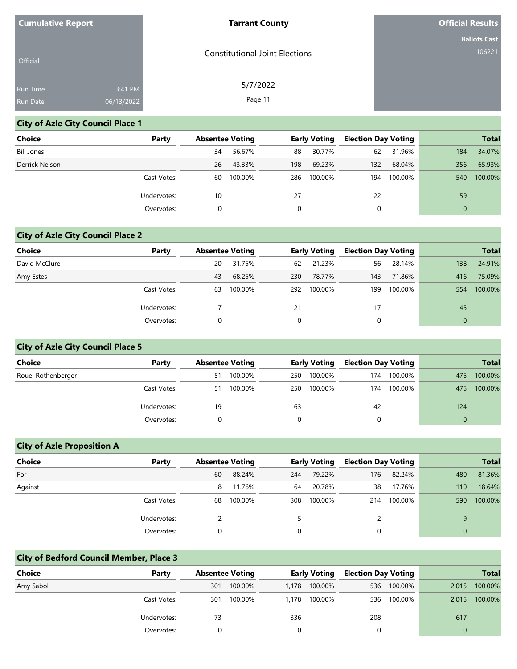| <b>Cumulative Report</b> |            | <b>Tarrant County</b>                 | <b>Official Results</b> |
|--------------------------|------------|---------------------------------------|-------------------------|
|                          |            |                                       | <b>Ballots Cast</b>     |
| Official                 |            | <b>Constitutional Joint Elections</b> | 106221                  |
| Run Time                 | 3:41 PM    | 5/7/2022                              |                         |
| Run Date                 | 06/13/2022 | Page 11                               |                         |

# **City of Azle City Council Place 1**

| Choice            | Party       | <b>Absentee Voting</b> |         |     | <b>Early Voting</b> | <b>Election Day Voting</b> |         |          | <b>Total</b> |
|-------------------|-------------|------------------------|---------|-----|---------------------|----------------------------|---------|----------|--------------|
| <b>Bill Jones</b> |             | 34                     | 56.67%  | 88  | 30.77%              | 62                         | 31.96%  | 184      | 34.07%       |
| Derrick Nelson    |             | 26                     | 43.33%  | 198 | 69.23%              | 132                        | 68.04%  | 356      | 65.93%       |
|                   | Cast Votes: | 60                     | 100.00% | 286 | 100.00%             | 194                        | 100.00% | 540      | 100.00%      |
|                   | Undervotes: | 10                     |         | 27  |                     | 22                         |         | 59       |              |
|                   | Overvotes:  | 0                      |         |     |                     | 0                          |         | $\Omega$ |              |

# **City of Azle City Council Place 2**

| <b>Choice</b> | Party       | <b>Absentee Voting</b> |         |     | <b>Early Voting</b> | <b>Election Day Voting</b> |         |              | <b>Total</b> |
|---------------|-------------|------------------------|---------|-----|---------------------|----------------------------|---------|--------------|--------------|
| David McClure |             | 20                     | 31.75%  | 62  | 21.23%              | 56                         | 28.14%  | 138          | 24.91%       |
| Amy Estes     |             | 43                     | 68.25%  | 230 | 78.77%              | 143                        | 71.86%  | 416          | 75.09%       |
|               | Cast Votes: | 63                     | 100.00% | 292 | 100.00%             | 199                        | 100.00% | 554          | 100.00%      |
|               | Undervotes: |                        |         | 21  |                     | 17                         |         | 45           |              |
|               | Overvotes:  | 0                      |         | 0   |                     | 0                          |         | $\mathbf{0}$ |              |

# **City of Azle City Council Place 5**

| Choice             | Party       | <b>Absentee Voting</b> |         |     | <b>Early Voting</b> | <b>Election Day Voting</b> |         |          | <b>Total</b> |
|--------------------|-------------|------------------------|---------|-----|---------------------|----------------------------|---------|----------|--------------|
| Rouel Rothenberger |             | 51                     | 100.00% | 250 | 100.00%             | 174                        | 100.00% | 475      | 100.00%      |
|                    | Cast Votes: | 51.                    | 100.00% | 250 | 100.00%             | 174                        | 100.00% | 475      | 100.00%      |
|                    | Undervotes: | 19                     |         | 63  |                     | 42                         |         | 124      |              |
|                    | Overvotes:  |                        |         |     |                     |                            |         | $\Omega$ |              |

## **City of Azle Proposition A**

| Choice  | Party       | <b>Absentee Voting</b> |         |     | <b>Early Voting</b> | <b>Election Day Voting</b> |         |          | <b>Total</b> |
|---------|-------------|------------------------|---------|-----|---------------------|----------------------------|---------|----------|--------------|
| For     |             | 60                     | 88.24%  | 244 | 79.22%              | 176                        | 82.24%  | 480      | 81.36%       |
| Against |             | 8                      | 11.76%  | 64  | 20.78%              | 38                         | 17.76%  | 110      | 18.64%       |
|         | Cast Votes: | 68                     | 100.00% | 308 | 100.00%             | 214                        | 100.00% | 590      | 100.00%      |
|         | Undervotes: |                        |         |     |                     |                            |         | 9        |              |
|         | Overvotes:  |                        |         |     |                     | 0                          |         | $\Omega$ |              |

## **City of Bedford Council Member, Place 3**

| Choice    | Party       |     | <b>Absentee Voting</b> |       | <b>Early Voting</b> | <b>Election Day Voting</b> |         |       | <b>Total</b> |
|-----------|-------------|-----|------------------------|-------|---------------------|----------------------------|---------|-------|--------------|
| Amy Sabol |             | 301 | 100.00%                | 1.178 | 100.00%             | 536                        | 100.00% | 2,015 | 100.00%      |
|           | Cast Votes: | 301 | 100.00%                | 1.178 | 100.00%             | 536                        | 100.00% | 2,015 | 100.00%      |
|           | Undervotes: | 73  |                        | 336   |                     | 208                        |         | 617   |              |
|           | Overvotes:  |     |                        |       |                     |                            |         |       |              |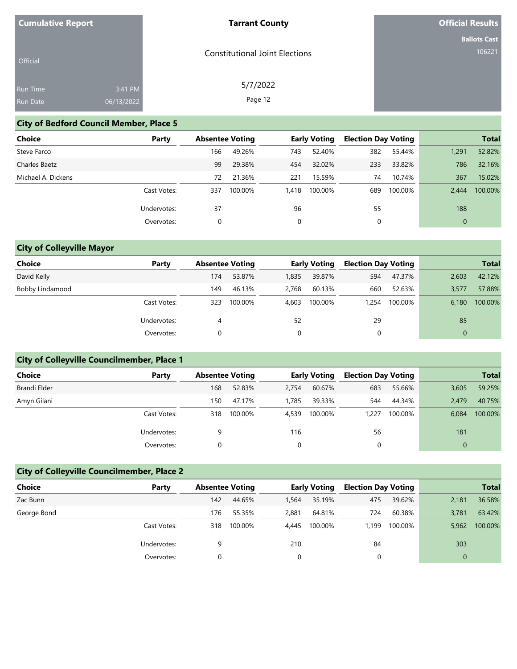| <b>Cumulative Report</b> |            | <b>Tarrant County</b>                 | <b>Official Results</b> |
|--------------------------|------------|---------------------------------------|-------------------------|
|                          |            |                                       | <b>Ballots Cast</b>     |
| Official                 |            | <b>Constitutional Joint Elections</b> | 106221                  |
| Run Time                 | 3:41 PM    | 5/7/2022                              |                         |
| Run Date                 | 06/13/2022 | Page 12                               |                         |

## **City of Bedford Council Member, Place 5**

| <b>Choice</b>      | Party       | <b>Absentee Voting</b> |         |       | <b>Early Voting</b> | <b>Election Day Voting</b> |         |              | <b>Total</b> |
|--------------------|-------------|------------------------|---------|-------|---------------------|----------------------------|---------|--------------|--------------|
| Steve Farco        |             | 166                    | 49.26%  | 743   | 52.40%              | 382                        | 55.44%  | 1.291        | 52.82%       |
| Charles Baetz      |             | 99                     | 29.38%  | 454   | 32.02%              | 233                        | 33.82%  | 786          | 32.16%       |
| Michael A. Dickens |             | 72                     | 21.36%  | 221   | 15.59%              | 74                         | 10.74%  | 367          | 15.02%       |
|                    | Cast Votes: | 337                    | 100.00% | 1,418 | 100.00%             | 689                        | 100.00% | 2.444        | 100.00%      |
|                    | Undervotes: | 37                     |         | 96    |                     | 55                         |         | 188          |              |
|                    | Overvotes:  | 0                      |         | 0     |                     | 0                          |         | $\mathbf{0}$ |              |

# **City of Colleyville Mayor**

| <b>Choice</b>   | Party       |     | <b>Absentee Voting</b> |       | <b>Early Voting</b> | <b>Election Day Voting</b> |         |       | <b>Total</b> |
|-----------------|-------------|-----|------------------------|-------|---------------------|----------------------------|---------|-------|--------------|
| David Kelly     |             | 174 | 53.87%                 | 1,835 | 39.87%              | 594                        | 47.37%  | 2,603 | 42.12%       |
| Bobby Lindamood |             | 149 | 46.13%                 | 2.768 | 60.13%              | 660                        | 52.63%  | 3,577 | 57.88%       |
|                 | Cast Votes: | 323 | 100.00%                | 4.603 | 100.00%             | 1.254                      | 100.00% | 6,180 | 100.00%      |
|                 | Undervotes: | 4   |                        | 52    |                     | 29                         |         | 85    |              |
|                 | Overvotes:  | 0   |                        | 0     |                     | 0                          |         |       |              |

# **City of Colleyville Councilmember, Place 1**

| <b>Choice</b> | Party       | <b>Absentee Voting</b> |         |       | <b>Early Voting</b> |       |         |       | <b>Election Day Voting</b> |  | <b>Total</b> |
|---------------|-------------|------------------------|---------|-------|---------------------|-------|---------|-------|----------------------------|--|--------------|
| Brandi Elder  |             | 168                    | 52.83%  | 2.754 | 60.67%              | 683   | 55.66%  | 3,605 | 59.25%                     |  |              |
| Amyn Gilani   |             | 150                    | 47.17%  | 1,785 | 39.33%              | 544   | 44.34%  | 2.479 | 40.75%                     |  |              |
|               | Cast Votes: | 318                    | 100.00% | 4,539 | 100.00%             | 1.227 | 100.00% | 6,084 | 100.00%                    |  |              |
|               | Undervotes: | 9                      |         | 116   |                     | 56    |         | 181   |                            |  |              |
|               | Overvotes:  |                        |         | 0     |                     |       |         |       |                            |  |              |

# **City of Colleyville Councilmember, Place 2**

| <b>Choice</b> | Party       |     | <b>Absentee Voting</b> |       | <b>Early Voting</b> | <b>Election Day Voting</b> |         |       | <b>Total</b> |
|---------------|-------------|-----|------------------------|-------|---------------------|----------------------------|---------|-------|--------------|
| Zac Bunn      |             | 142 | 44.65%                 | 1.564 | 35.19%              | 475                        | 39.62%  | 2,181 | 36.58%       |
| George Bond   |             | 176 | 55.35%                 | 2.881 | 64.81%              | 724                        | 60.38%  | 3,781 | 63.42%       |
|               | Cast Votes: | 318 | 100.00%                | 4,445 | 100.00%             | 1.199                      | 100.00% | 5,962 | 100.00%      |
|               | Undervotes: | 9   |                        | 210   |                     | 84                         |         | 303   |              |
|               | Overvotes:  |     |                        | 0     |                     |                            |         |       |              |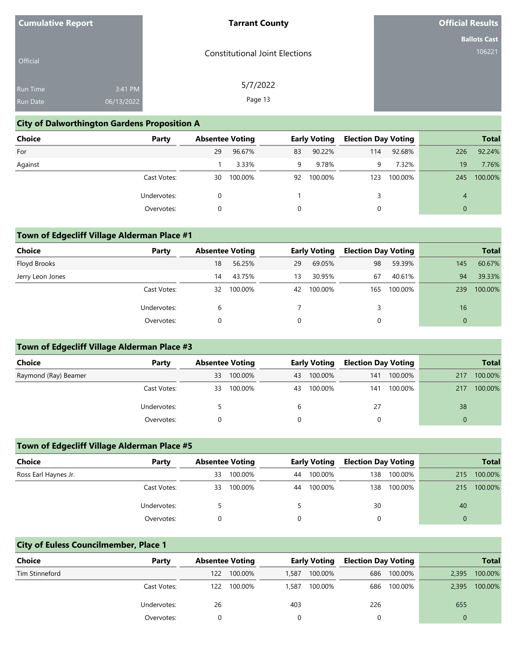| <b>Cumulative Report</b> |            | <b>Tarrant County</b>                 | <b>Official Results</b> |
|--------------------------|------------|---------------------------------------|-------------------------|
|                          |            |                                       | <b>Ballots Cast</b>     |
| Official                 |            | <b>Constitutional Joint Elections</b> | 106221                  |
| Run Time                 | 3:41 PM    | 5/7/2022                              |                         |
| Run Date                 | 06/13/2022 | Page 13                               |                         |

## **City of Dalworthington Gardens Proposition A**

| <b>Choice</b> | Party       | <b>Absentee Voting</b> |         |    | <b>Early Voting</b> | <b>Election Day Voting</b> |         |          | <b>Total</b> |
|---------------|-------------|------------------------|---------|----|---------------------|----------------------------|---------|----------|--------------|
| For           |             | 29                     | 96.67%  | 83 | 90.22%              | 114                        | 92.68%  | 226      | 92.24%       |
| Against       |             |                        | 3.33%   | 9  | 9.78%               | 9.                         | 7.32%   | 19       | 7.76%        |
|               | Cast Votes: | 30                     | 100.00% | 92 | 100.00%             | 123                        | 100.00% | 245      | 100.00%      |
|               | Undervotes: |                        |         |    |                     |                            |         | 4        |              |
|               | Overvotes:  |                        |         |    |                     | 0                          |         | $\Omega$ |              |

## **Town of Edgecliff Village Alderman Place #1**

| <b>Choice</b>    | Party       | <b>Absentee Voting</b> |         |          | <b>Early Voting</b> | <b>Election Day Voting</b> |         |     | <b>Total</b> |
|------------------|-------------|------------------------|---------|----------|---------------------|----------------------------|---------|-----|--------------|
| Floyd Brooks     |             | 18                     | 56.25%  | 29       | 69.05%              | 98                         | 59.39%  | 145 | 60.67%       |
| Jerry Leon Jones |             | 14                     | 43.75%  | 13       | 30.95%              | 67                         | 40.61%  | 94  | 39.33%       |
|                  | Cast Votes: | 32                     | 100.00% | 42       | 100.00%             | 165                        | 100.00% | 239 | 100.00%      |
|                  | Undervotes: | b                      |         |          |                     | 3                          |         | 16  |              |
|                  | Overvotes:  |                        |         | $\Omega$ |                     |                            |         |     |              |

## **Town of Edgecliff Village Alderman Place #3**

| Choice               | Party       | <b>Absentee Voting</b> |         | <b>Early Voting</b> |         | <b>Election Day Voting</b> |         |     | <b>Total</b> |
|----------------------|-------------|------------------------|---------|---------------------|---------|----------------------------|---------|-----|--------------|
| Raymond (Ray) Beamer |             | 33                     | 100.00% | 43                  | 100.00% | 141                        | 100.00% | 217 | 100.00%      |
|                      | Cast Votes: | 33                     | 100.00% | 43                  | 100.00% | 141                        | 100.00% | 217 | 100.00%      |
|                      | Undervotes: |                        |         | b                   |         | 27                         |         | 38  |              |
|                      | Overvotes:  |                        |         |                     |         |                            |         |     |              |

## **Town of Edgecliff Village Alderman Place #5**

| <b>Choice</b>        | Party       |    | <b>Absentee Voting</b> |    | <b>Early Voting</b> | <b>Election Day Voting</b> |         |     | <b>Total</b> |
|----------------------|-------------|----|------------------------|----|---------------------|----------------------------|---------|-----|--------------|
| Ross Earl Haynes Jr. |             | 33 | 100.00%                | 44 | 100.00%             | 138                        | 100.00% | 215 | 100.00%      |
|                      | Cast Votes: | 33 | 100.00%                | 44 | 100.00%             | 138                        | 100.00% | 215 | 100.00%      |
|                      | Undervotes: |    |                        |    |                     | 30                         |         | 40  |              |
|                      | Overvotes:  |    |                        |    |                     |                            |         |     |              |

### **City of Euless Councilmember, Place 1**

| <b>Choice</b>  | Party       |     | <b>Absentee Voting</b> |       | <b>Early Voting</b> |     | <b>Election Day Voting</b> |       | <b>Total</b> |
|----------------|-------------|-----|------------------------|-------|---------------------|-----|----------------------------|-------|--------------|
| Tim Stinneford |             | 122 | 100.00%                | 1.587 | 100.00%             | 686 | 100.00%                    | 2,395 | 100.00%      |
|                | Cast Votes: | 122 | 100.00%                | 1.587 | 100.00%             | 686 | 100.00%                    | 2,395 | 100.00%      |
|                | Undervotes: | 26  |                        | 403   |                     | 226 |                            | 655   |              |
|                | Overvotes:  |     |                        |       |                     |     |                            |       |              |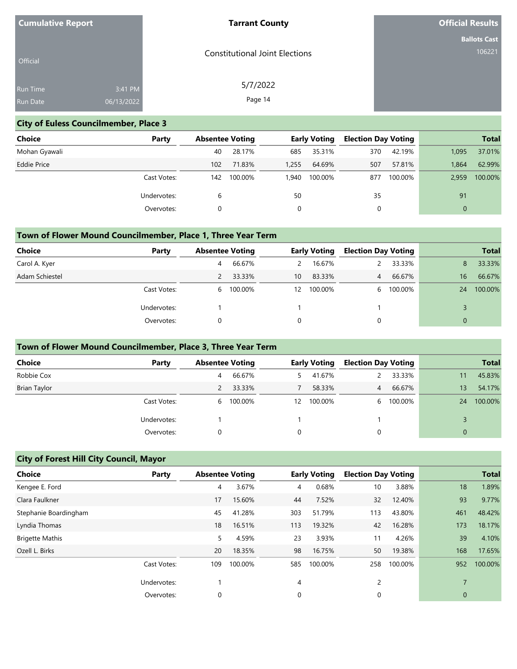| <b>Cumulative Report</b> |            | <b>Tarrant County</b>                 | <b>Official Results</b> |
|--------------------------|------------|---------------------------------------|-------------------------|
|                          |            |                                       | <b>Ballots Cast</b>     |
| Official                 |            | <b>Constitutional Joint Elections</b> | 106221                  |
| Run Time                 | 3:41 PM    | 5/7/2022                              |                         |
| Run Date                 | 06/13/2022 | Page 14                               |                         |

## **City of Euless Councilmember, Place 3**

| Choice             | Party       | <b>Absentee Voting</b> |         |       | <b>Early Voting</b> | <b>Election Day Voting</b> |         |             | <b>Total</b> |
|--------------------|-------------|------------------------|---------|-------|---------------------|----------------------------|---------|-------------|--------------|
| Mohan Gyawali      |             | 40                     | 28.17%  | 685   | 35.31%              | 370                        | 42.19%  | 1,095       | 37.01%       |
| <b>Eddie Price</b> |             | 102                    | 71.83%  | 1,255 | 64.69%              | 507                        | 57.81%  | 1.864       | 62.99%       |
|                    | Cast Votes: | 142                    | 100.00% | 1.940 | 100.00%             | 877                        | 100.00% | 2,959       | 100.00%      |
|                    | Undervotes: | 6                      |         | 50    |                     | 35                         |         | 91          |              |
|                    | Overvotes:  |                        |         |       |                     | 0                          |         | $\mathbf 0$ |              |

## **Town of Flower Mound Councilmember, Place 1, Three Year Term**

| Choice         | Party       | <b>Absentee Voting</b> |           |    | <b>Early Voting</b> | <b>Election Day Voting</b> |         |          | <b>Total</b> |
|----------------|-------------|------------------------|-----------|----|---------------------|----------------------------|---------|----------|--------------|
| Carol A. Kyer  |             | 4                      | 66.67%    | 2  | 16.67%              |                            | 33.33%  | 8        | 33.33%       |
| Adam Schiestel |             |                        | 33.33%    | 10 | 83.33%              | $\overline{4}$             | 66.67%  | 16       | 66.67%       |
|                | Cast Votes: |                        | 6 100.00% | 12 | 100.00%             | 6                          | 100.00% | 24       | 100.00%      |
|                | Undervotes: |                        |           |    |                     |                            |         |          |              |
|                | Overvotes:  | 0                      |           |    |                     | 0                          |         | $\Omega$ |              |

### **Town of Flower Mound Councilmember, Place 3, Three Year Term**

| Choice       | Party       | <b>Absentee Voting</b> |         |    | <b>Early Voting</b> | <b>Election Day Voting</b> |         |                 | <b>Total</b> |
|--------------|-------------|------------------------|---------|----|---------------------|----------------------------|---------|-----------------|--------------|
| Robbie Cox   |             | 4                      | 66.67%  | 5. | 41.67%              |                            | 33.33%  | 11              | 45.83%       |
| Brian Taylor |             |                        | 33.33%  |    | 58.33%              | $\overline{4}$             | 66.67%  | 13 <sup>°</sup> | 54.17%       |
|              | Cast Votes: | 6                      | 100.00% | 12 | 100.00%             | 6                          | 100.00% | 24              | 100.00%      |
|              | Undervotes: |                        |         |    |                     |                            |         |                 |              |
|              | Overvotes:  |                        |         |    |                     | $\Omega$                   |         | 0               |              |

# **City of Forest Hill City Council, Mayor**

| <b>Choice</b>          | Party       | <b>Absentee Voting</b> |         |     | <b>Early Voting</b> | <b>Election Day Voting</b> |         |              | <b>Total</b> |
|------------------------|-------------|------------------------|---------|-----|---------------------|----------------------------|---------|--------------|--------------|
| Kengee E. Ford         |             | 4                      | 3.67%   | 4   | 0.68%               | 10                         | 3.88%   | 18           | 1.89%        |
| Clara Faulkner         |             | 17                     | 15.60%  | 44  | 7.52%               | 32                         | 12.40%  | 93           | 9.77%        |
| Stephanie Boardingham  |             | 45                     | 41.28%  | 303 | 51.79%              | 113                        | 43.80%  | 461          | 48.42%       |
| Lyndia Thomas          |             | 18                     | 16.51%  | 113 | 19.32%              | 42                         | 16.28%  | 173          | 18.17%       |
| <b>Brigette Mathis</b> |             | 5                      | 4.59%   | 23  | 3.93%               | 11                         | 4.26%   | 39           | 4.10%        |
| Ozell L. Birks         |             | 20                     | 18.35%  | 98  | 16.75%              | 50                         | 19.38%  | 168          | 17.65%       |
|                        | Cast Votes: | 109                    | 100.00% | 585 | 100.00%             | 258                        | 100.00% | 952          | 100.00%      |
|                        | Undervotes: |                        |         | 4   |                     | $\overline{c}$             |         |              |              |
|                        | Overvotes:  | 0                      |         | 0   |                     | 0                          |         | $\mathbf{0}$ |              |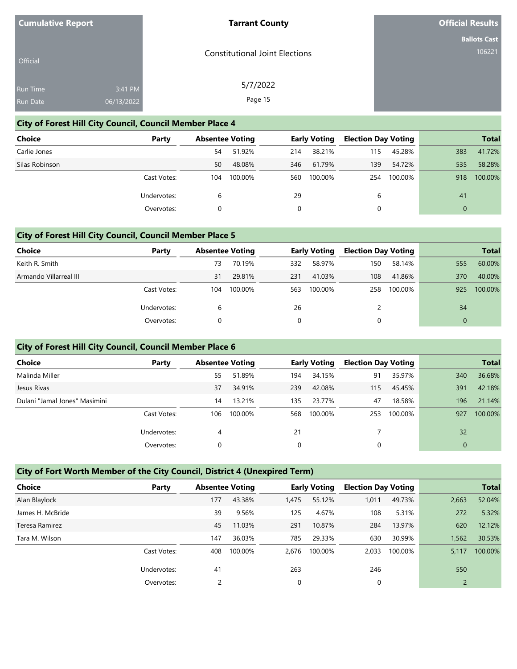| <b>Cumulative Report</b> |            | <b>Tarrant County</b>                 | <b>Official Results</b> |
|--------------------------|------------|---------------------------------------|-------------------------|
|                          |            |                                       | <b>Ballots Cast</b>     |
| Official                 |            | <b>Constitutional Joint Elections</b> | 106221                  |
|                          |            |                                       |                         |
| Run Time                 | 3:41 PM    | 5/7/2022                              |                         |
| Run Date                 | 06/13/2022 | Page 15                               |                         |

## **City of Forest Hill City Council, Council Member Place 4**

| Choice         | Party       |     | <b>Absentee Voting</b> |     | <b>Early Voting</b> | <b>Election Day Voting</b> |         |          | <b>Total</b> |
|----------------|-------------|-----|------------------------|-----|---------------------|----------------------------|---------|----------|--------------|
| Carlie Jones   |             | 54  | 51.92%                 | 214 | 38.21%              | 115                        | 45.28%  | 383      | 41.72%       |
| Silas Robinson |             | 50  | 48.08%                 | 346 | 61.79%              | 139                        | 54.72%  | 535      | 58.28%       |
|                | Cast Votes: | 104 | 100.00%                | 560 | 100.00%             | 254                        | 100.00% | 918      | 100.00%      |
|                | Undervotes: | 6   |                        | 29  |                     | 6                          |         | 41       |              |
|                | Overvotes:  | 0   |                        |     |                     |                            |         | $\Omega$ |              |

## **City of Forest Hill City Council, Council Member Place 5**

| Choice                 | Party       | <b>Absentee Voting</b> |         |          | <b>Early Voting</b> | <b>Election Day Voting</b> |         |     | <b>Total</b> |
|------------------------|-------------|------------------------|---------|----------|---------------------|----------------------------|---------|-----|--------------|
| Keith R. Smith         |             | 73                     | 70.19%  | 332      | 58.97%              | 150                        | 58.14%  | 555 | 60.00%       |
| Armando Villarreal III |             | 31                     | 29.81%  | 231      | 41.03%              | 108                        | 41.86%  | 370 | 40.00%       |
|                        | Cast Votes: | 104                    | 100.00% | 563      | 100.00%             | 258                        | 100.00% | 925 | 100.00%      |
|                        | Undervotes: | b                      |         | 26       |                     |                            |         | 34  |              |
|                        | Overvotes:  |                        |         | $\Omega$ |                     |                            |         |     |              |

## **City of Forest Hill City Council, Council Member Place 6**

| <b>Choice</b>                 | Party       | <b>Absentee Voting</b> |         |     | <b>Early Voting</b> | <b>Election Day Voting</b> |         |          | <b>Total</b> |
|-------------------------------|-------------|------------------------|---------|-----|---------------------|----------------------------|---------|----------|--------------|
| Malinda Miller                |             | 55                     | 51.89%  | 194 | 34.15%              | 91                         | 35.97%  | 340      | 36.68%       |
| Jesus Rivas                   |             | 37                     | 34.91%  | 239 | 42.08%              | 115                        | 45.45%  | 391      | 42.18%       |
| Dulani "Jamal Jones" Masimini |             | 14                     | 13.21%  | 135 | 23.77%              | 47                         | 18.58%  | 196      | 21.14%       |
|                               | Cast Votes: | 106                    | 100.00% | 568 | 100.00%             | 253                        | 100.00% | 927      | 100.00%      |
|                               | Undervotes: | 4                      |         | 21  |                     |                            |         | 32       |              |
|                               | Overvotes:  |                        |         | 0   |                     |                            |         | $\Omega$ |              |

# **City of Fort Worth Member of the City Council, District 4 (Unexpired Term)**

| <b>Choice</b>    | Party       | <b>Absentee Voting</b> |         |             | <b>Early Voting</b> | <b>Election Day Voting</b> |         |       | <b>Total</b> |
|------------------|-------------|------------------------|---------|-------------|---------------------|----------------------------|---------|-------|--------------|
| Alan Blaylock    |             | 177                    | 43.38%  | 1,475       | 55.12%              | 1,011                      | 49.73%  | 2,663 | 52.04%       |
| James H. McBride |             | 39                     | 9.56%   | 125         | 4.67%               | 108                        | 5.31%   | 272   | 5.32%        |
| Teresa Ramirez   |             | 45                     | 11.03%  | 291         | 10.87%              | 284                        | 13.97%  | 620   | 12.12%       |
| Tara M. Wilson   |             | 147                    | 36.03%  | 785         | 29.33%              | 630                        | 30.99%  | 1,562 | 30.53%       |
|                  | Cast Votes: | 408                    | 100.00% | 2,676       | 100.00%             | 2,033                      | 100.00% | 5,117 | 100.00%      |
|                  | Undervotes: | 41                     |         | 263         |                     | 246                        |         | 550   |              |
|                  | Overvotes:  |                        |         | $\mathbf 0$ |                     | 0                          |         |       |              |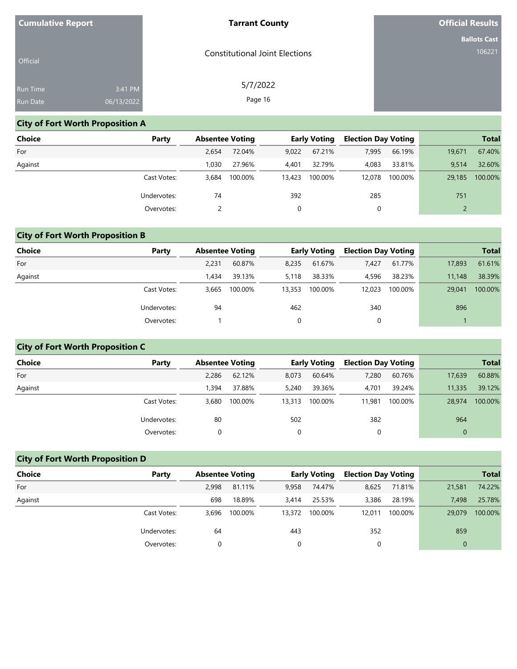| <b>Cumulative Report</b> |            | <b>Tarrant County</b>                 | <b>Official Results</b> |
|--------------------------|------------|---------------------------------------|-------------------------|
|                          |            |                                       | <b>Ballots Cast</b>     |
| Official                 |            | <b>Constitutional Joint Elections</b> | 106221                  |
| Run Time                 | 3:41 PM    | 5/7/2022                              |                         |
| Run Date                 | 06/13/2022 | Page 16                               |                         |

# **City of Fort Worth Proposition A**

| Choice  | Party       | <b>Absentee Voting</b> |         |        | <b>Early Voting</b> | <b>Election Day Voting</b> |         |        | <b>Total</b> |
|---------|-------------|------------------------|---------|--------|---------------------|----------------------------|---------|--------|--------------|
| For     |             | 2,654                  | 72.04%  | 9,022  | 67.21%              | 7,995                      | 66.19%  | 19,671 | 67.40%       |
| Against |             | 1.030                  | 27.96%  | 4,401  | 32.79%              | 4,083                      | 33.81%  | 9.514  | 32.60%       |
|         | Cast Votes: | 3.684                  | 100.00% | 13,423 | 100.00%             | 12.078                     | 100.00% | 29.185 | 100.00%      |
|         | Undervotes: | 74                     |         | 392    |                     | 285                        |         | 751    |              |
|         | Overvotes:  |                        |         |        |                     | 0                          |         |        |              |

# **City of Fort Worth Proposition B**

| <b>Choice</b> | Party       | <b>Absentee Voting</b> |         |          | Early Voting | <b>Election Day Voting</b> |         |        | <b>Total</b> |
|---------------|-------------|------------------------|---------|----------|--------------|----------------------------|---------|--------|--------------|
| For           |             | 2.231                  | 60.87%  | 8,235    | 61.67%       | 7,427                      | 61.77%  | 17,893 | 61.61%       |
| Against       |             | 1.434                  | 39.13%  | 5.118    | 38.33%       | 4,596                      | 38.23%  | 11.148 | 38.39%       |
|               | Cast Votes: | 3.665                  | 100.00% | 13,353   | 100.00%      | 12,023                     | 100.00% | 29,041 | 100.00%      |
|               | Undervotes: | 94                     |         | 462      |              | 340                        |         | 896    |              |
|               | Overvotes:  |                        |         | $\Omega$ |              | 0                          |         |        |              |

# **City of Fort Worth Proposition C**

| Choice  | Party       | <b>Absentee Voting</b> |         |        | <b>Early Voting</b> | <b>Election Day Voting</b> |         |             | <b>Total</b> |
|---------|-------------|------------------------|---------|--------|---------------------|----------------------------|---------|-------------|--------------|
| For     |             | 2,286                  | 62.12%  | 8,073  | 60.64%              | 7,280                      | 60.76%  | 17,639      | 60.88%       |
| Against |             | .394                   | 37.88%  | 5,240  | 39.36%              | 4.701                      | 39.24%  | 11,335      | 39.12%       |
|         | Cast Votes: | 3.680                  | 100.00% | 13,313 | 100.00%             | 11.981                     | 100.00% | 28.974      | 100.00%      |
|         | Undervotes: | 80                     |         | 502    |                     | 382                        |         | 964         |              |
|         | Overvotes:  |                        |         | 0      |                     | 0                          |         | $\mathbf 0$ |              |

# **City of Fort Worth Proposition D**

| <b>Choice</b> | Party       | <b>Absentee Voting</b> |         |        | <b>Early Voting</b> | <b>Election Day Voting</b> |         |          | <b>Total</b> |
|---------------|-------------|------------------------|---------|--------|---------------------|----------------------------|---------|----------|--------------|
| For           |             | 2.998                  | 81.11%  | 9,958  | 74.47%              | 8,625                      | 71.81%  | 21,581   | 74.22%       |
| Against       |             | 698                    | 18.89%  | 3.414  | 25.53%              | 3,386                      | 28.19%  | 7.498    | 25.78%       |
|               | Cast Votes: | 3.696                  | 100.00% | 13,372 | 100.00%             | 12,011                     | 100.00% | 29,079   | 100.00%      |
|               | Undervotes: | 64                     |         | 443    |                     | 352                        |         | 859      |              |
|               | Overvotes:  |                        |         | 0      |                     |                            |         | $\Omega$ |              |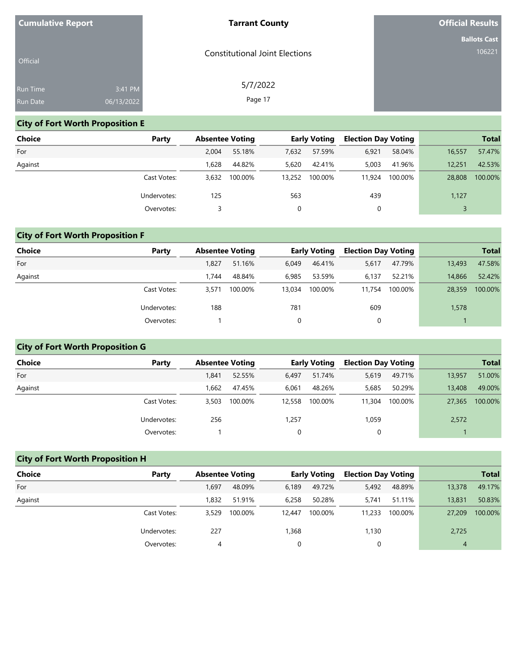| <b>Cumulative Report</b> |            | <b>Tarrant County</b>                 | <b>Official Results</b> |
|--------------------------|------------|---------------------------------------|-------------------------|
|                          |            |                                       | <b>Ballots Cast</b>     |
| Official                 |            | <b>Constitutional Joint Elections</b> | 106221                  |
| Run Time                 | 3:41 PM    | 5/7/2022                              |                         |
| Run Date                 | 06/13/2022 | Page 17                               |                         |

# **City of Fort Worth Proposition E**

| <b>Choice</b> | Party       | <b>Absentee Voting</b> |         |        | <b>Early Voting</b> | <b>Election Day Voting</b> |         |        | <b>Total</b> |
|---------------|-------------|------------------------|---------|--------|---------------------|----------------------------|---------|--------|--------------|
|               |             |                        |         |        |                     |                            |         |        |              |
| For           |             | 2.004                  | 55.18%  | 7,632  | 57.59%              | 6,921                      | 58.04%  | 16,557 | 57.47%       |
| Against       |             | 1.628                  | 44.82%  | 5,620  | 42.41%              | 5,003                      | 41.96%  | 12,251 | 42.53%       |
|               | Cast Votes: | 3,632                  | 100.00% | 13,252 | 100.00%             | 11,924                     | 100.00% | 28,808 | 100.00%      |
|               | Undervotes: | 125                    |         | 563    |                     | 439                        |         | 1,127  |              |
|               | Overvotes:  |                        |         | 0      |                     | 0                          |         |        |              |

# **City of Fort Worth Proposition F**

| <b>Choice</b> | Party       | <b>Absentee Voting</b> |         |        | Early Voting | <b>Election Day Voting</b> |         |        | <b>Total</b> |
|---------------|-------------|------------------------|---------|--------|--------------|----------------------------|---------|--------|--------------|
| For           |             | 1.827                  | 51.16%  | 6,049  | 46.41%       | 5,617                      | 47.79%  | 13,493 | 47.58%       |
| Against       |             | 1.744                  | 48.84%  | 6,985  | 53.59%       | 6.137                      | 52.21%  | 14,866 | 52.42%       |
|               | Cast Votes: | 3.571                  | 100.00% | 13.034 | 100.00%      | 11,754                     | 100.00% | 28,359 | 100.00%      |
|               | Undervotes: | 188                    |         | 781    |              | 609                        |         | 1,578  |              |
|               | Overvotes:  |                        |         | 0      |              | 0                          |         |        |              |

# **City of Fort Worth Proposition G**

| Choice  | Party       | <b>Absentee Voting</b> |         |        | <b>Early Voting</b> | <b>Election Day Voting</b> |         |        | <b>Total</b> |
|---------|-------------|------------------------|---------|--------|---------------------|----------------------------|---------|--------|--------------|
| For     |             | .841                   | 52.55%  | 6,497  | 51.74%              | 5,619                      | 49.71%  | 13,957 | 51.00%       |
| Against |             | .662                   | 47.45%  | 6.061  | 48.26%              | 5,685                      | 50.29%  | 13,408 | 49.00%       |
|         | Cast Votes: | 3.503                  | 100.00% | 12,558 | 100.00%             | 11,304                     | 100.00% | 27,365 | 100.00%      |
|         | Undervotes: | 256                    |         | 1,257  |                     | 1,059                      |         | 2,572  |              |
|         | Overvotes:  |                        |         | 0      |                     | 0                          |         |        |              |

# **City of Fort Worth Proposition H**

| <b>Choice</b> | Party       | <b>Absentee Voting</b> |         |        | <b>Early Voting</b> | <b>Election Day Voting</b> |         |                | <b>Total</b> |
|---------------|-------------|------------------------|---------|--------|---------------------|----------------------------|---------|----------------|--------------|
| For           |             | 1.697                  | 48.09%  | 6,189  | 49.72%              | 5,492                      | 48.89%  | 13,378         | 49.17%       |
| Against       |             | 1.832                  | 51.91%  | 6,258  | 50.28%              | 5.741                      | 51.11%  | 13,831         | 50.83%       |
|               | Cast Votes: | 3.529                  | 100.00% | 12,447 | 100.00%             | 11,233                     | 100.00% | 27,209         | 100.00%      |
|               | Undervotes: | 227                    |         | 1,368  |                     | 1,130                      |         | 2,725          |              |
|               | Overvotes:  | 4                      |         | 0      |                     | 0                          |         | $\overline{4}$ |              |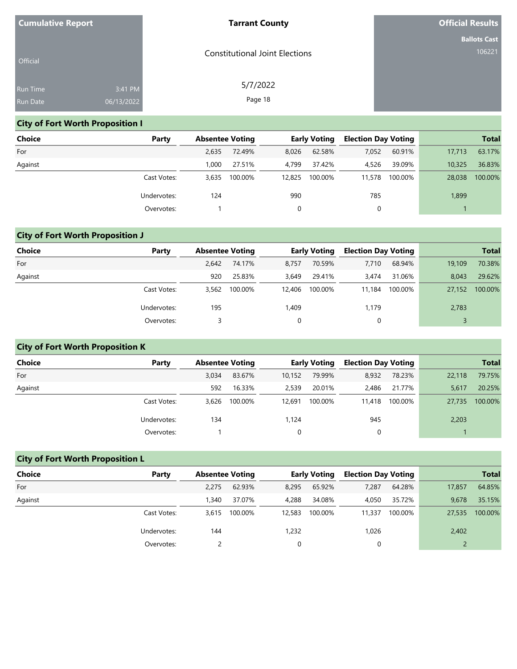| <b>Cumulative Report</b> |            | <b>Tarrant County</b>                 | <b>Official Results</b> |
|--------------------------|------------|---------------------------------------|-------------------------|
|                          |            |                                       | <b>Ballots Cast</b>     |
| Official                 |            | <b>Constitutional Joint Elections</b> | 106221                  |
| Run Time                 | 3:41 PM    | 5/7/2022                              |                         |
| Run Date                 | 06/13/2022 | Page 18                               |                         |

# **City of Fort Worth Proposition I**

| Choice  | Party       | <b>Absentee Voting</b> |         |        | <b>Early Voting</b> | <b>Election Day Voting</b> |         |        | <b>Total</b> |
|---------|-------------|------------------------|---------|--------|---------------------|----------------------------|---------|--------|--------------|
| For     |             | 2,635                  | 72.49%  | 8.026  | 62.58%              | 7,052                      | 60.91%  | 17.713 | 63.17%       |
| Against |             | 1.000                  | 27.51%  | 4.799  | 37.42%              | 4,526                      | 39.09%  | 10.325 | 36.83%       |
|         | Cast Votes: | 3,635                  | 100.00% | 12,825 | 100.00%             | 11,578                     | 100.00% | 28,038 | 100.00%      |
|         | Undervotes: | 124                    |         | 990    |                     | 785                        |         | 1,899  |              |
|         | Overvotes:  |                        |         |        |                     | 0                          |         |        |              |

# **City of Fort Worth Proposition J**

| <b>Choice</b> | Party       | <b>Absentee Voting</b> |         |        | <b>Early Voting</b> | <b>Election Day Voting</b> |         |        | <b>Total</b> |
|---------------|-------------|------------------------|---------|--------|---------------------|----------------------------|---------|--------|--------------|
| For           |             | 2.642                  | 74.17%  | 8.757  | 70.59%              | 7,710                      | 68.94%  | 19.109 | 70.38%       |
| Against       |             | 920                    | 25.83%  | 3,649  | 29.41%              | 3.474                      | 31.06%  | 8.043  | 29.62%       |
|               | Cast Votes: | 3.562                  | 100.00% | 12,406 | 100.00%             | 11,184                     | 100.00% | 27,152 | 100.00%      |
|               | Undervotes: | 195                    |         | 1,409  |                     | 1,179                      |         | 2,783  |              |
|               | Overvotes:  |                        |         | 0      |                     | 0                          |         |        |              |

# **City of Fort Worth Proposition K**

| Choice  | Party       | <b>Absentee Voting</b> |         |        | <b>Early Voting</b> | <b>Election Day Voting</b> |         |        | <b>Total</b> |
|---------|-------------|------------------------|---------|--------|---------------------|----------------------------|---------|--------|--------------|
| For     |             | 3.034                  | 83.67%  | 10,152 | 79.99%              | 8,932                      | 78.23%  | 22,118 | 79.75%       |
| Against |             | 592                    | 16.33%  | 2,539  | 20.01%              | 2,486                      | 21.77%  | 5,617  | 20.25%       |
|         | Cast Votes: | 3.626                  | 100.00% | 12,691 | 100.00%             | 11,418                     | 100.00% | 27,735 | 100.00%      |
|         | Undervotes: | 134                    |         | 1,124  |                     | 945                        |         | 2,203  |              |
|         | Overvotes:  |                        |         | 0      |                     | 0                          |         |        |              |

# **City of Fort Worth Proposition L**

| <b>Choice</b> | Party       | <b>Absentee Voting</b> |         |        | <b>Early Voting</b> | <b>Election Day Voting</b> |         |        | <b>Total</b> |
|---------------|-------------|------------------------|---------|--------|---------------------|----------------------------|---------|--------|--------------|
| For           |             | 2.275                  | 62.93%  | 8,295  | 65.92%              | 7,287                      | 64.28%  | 17,857 | 64.85%       |
| Against       |             | .340                   | 37.07%  | 4,288  | 34.08%              | 4,050                      | 35.72%  | 9,678  | 35.15%       |
|               | Cast Votes: | 3.615                  | 100.00% | 12,583 | 100.00%             | 11,337                     | 100.00% | 27,535 | 100.00%      |
|               | Undervotes: | 144                    |         | 1,232  |                     | 1,026                      |         | 2,402  |              |
|               | Overvotes:  |                        |         | 0      |                     |                            |         |        |              |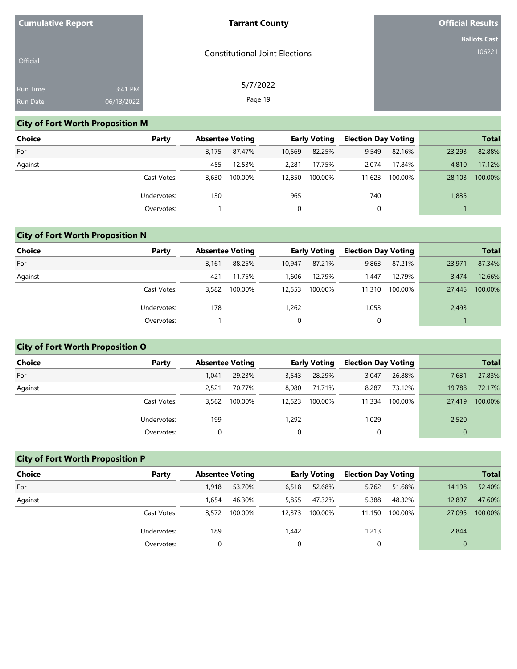| <b>Cumulative Report</b> |            | <b>Tarrant County</b>                 | <b>Official Results</b> |
|--------------------------|------------|---------------------------------------|-------------------------|
|                          |            |                                       | <b>Ballots Cast</b>     |
| Official                 |            | <b>Constitutional Joint Elections</b> | 106221                  |
| Run Time                 | 3:41 PM    | 5/7/2022                              |                         |
| Run Date                 | 06/13/2022 | Page 19                               |                         |

# **City of Fort Worth Proposition M**

| <b>Choice</b> | Party       |       | <b>Absentee Voting</b> |        | <b>Early Voting</b> | <b>Election Day Voting</b> |         |        | <b>Total</b> |
|---------------|-------------|-------|------------------------|--------|---------------------|----------------------------|---------|--------|--------------|
| For           |             | 3.175 | 87.47%                 | 10,569 | 82.25%              | 9,549                      | 82.16%  | 23,293 | 82.88%       |
| Against       |             | 455   | 12.53%                 | 2,281  | 17.75%              | 2.074                      | 17.84%  | 4,810  | 17.12%       |
|               | Cast Votes: | 3,630 | 100.00%                | 12,850 | 100.00%             | 11,623                     | 100.00% | 28,103 | 100.00%      |
|               | Undervotes: | 130   |                        | 965    |                     | 740                        |         | 1,835  |              |
|               | Overvotes:  |       |                        |        |                     | 0                          |         |        |              |

# **City of Fort Worth Proposition N**

| <b>Choice</b> | Party       | <b>Absentee Voting</b> |         |        | <b>Early Voting</b> | <b>Election Day Voting</b> |         |        | <b>Total</b> |
|---------------|-------------|------------------------|---------|--------|---------------------|----------------------------|---------|--------|--------------|
| For           |             | 3.161                  | 88.25%  | 10.947 | 87.21%              | 9,863                      | 87.21%  | 23,971 | 87.34%       |
| Against       |             | 421                    | 11.75%  | 1.606  | 12.79%              | 1.447                      | 12.79%  | 3.474  | 12.66%       |
|               | Cast Votes: | 3,582                  | 100.00% | 12,553 | 100.00%             | 11,310                     | 100.00% | 27,445 | 100.00%      |
|               | Undervotes: | 178                    |         | 1,262  |                     | 1,053                      |         | 2,493  |              |
|               | Overvotes:  |                        |         | 0      |                     | 0                          |         |        |              |

# **City of Fort Worth Proposition O**

| <b>Choice</b> | Party       | <b>Absentee Voting</b> |         |        | <b>Early Voting</b> | <b>Election Day Voting</b> |         |             | <b>Total</b> |
|---------------|-------------|------------------------|---------|--------|---------------------|----------------------------|---------|-------------|--------------|
| For           |             | 1.041                  | 29.23%  | 3,543  | 28.29%              | 3,047                      | 26.88%  | 7,631       | 27.83%       |
| Against       |             | 2.521                  | 70.77%  | 8.980  | 71.71%              | 8,287                      | 73.12%  | 19,788      | 72.17%       |
|               | Cast Votes: | 3.562                  | 100.00% | 12,523 | 100.00%             | 11,334                     | 100.00% | 27,419      | 100.00%      |
|               | Undervotes: | 199                    |         | 1,292  |                     | 1,029                      |         | 2,520       |              |
|               | Overvotes:  |                        |         | 0      |                     | 0                          |         | $\mathbf 0$ |              |

# **City of Fort Worth Proposition P**

| <b>Choice</b> | Party       | <b>Absentee Voting</b> |         |        | Early Voting | <b>Election Day Voting</b> |         |          | <b>Total</b> |
|---------------|-------------|------------------------|---------|--------|--------------|----------------------------|---------|----------|--------------|
| For           |             | 1,918                  | 53.70%  | 6,518  | 52.68%       | 5,762                      | 51.68%  | 14,198   | 52.40%       |
| Against       |             | 1.654                  | 46.30%  | 5,855  | 47.32%       | 5,388                      | 48.32%  | 12,897   | 47.60%       |
|               | Cast Votes: | 3,572                  | 100.00% | 12,373 | 100.00%      | 11.150                     | 100.00% | 27,095   | 100.00%      |
|               | Undervotes: | 189                    |         | 1,442  |              | 1,213                      |         | 2,844    |              |
|               | Overvotes:  |                        |         | 0      |              |                            |         | $\Omega$ |              |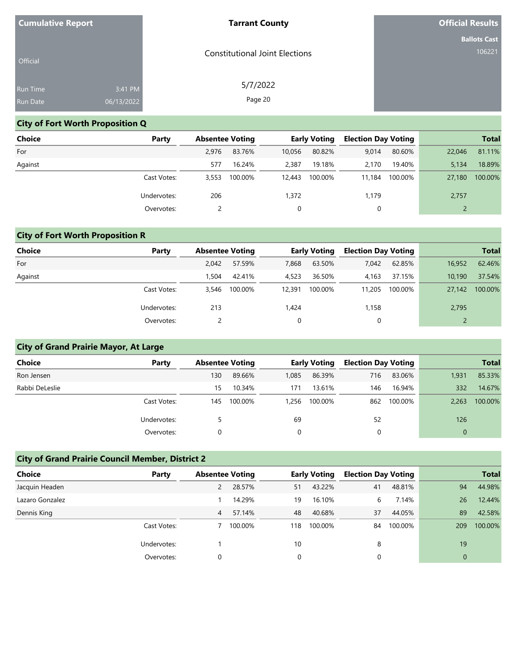| <b>Cumulative Report</b> |            | <b>Tarrant County</b>                 | <b>Official Results</b> |
|--------------------------|------------|---------------------------------------|-------------------------|
|                          |            |                                       | <b>Ballots Cast</b>     |
| Official                 |            | <b>Constitutional Joint Elections</b> | 106221                  |
| Run Time                 | 3:41 PM    | 5/7/2022                              |                         |
| Run Date                 | 06/13/2022 | Page 20                               |                         |

# **City of Fort Worth Proposition Q**

| Choice  | Party       | <b>Absentee Voting</b> |         |        | <b>Early Voting</b> | <b>Election Day Voting</b> |         |        | <b>Total</b> |
|---------|-------------|------------------------|---------|--------|---------------------|----------------------------|---------|--------|--------------|
| For     |             | 2.976                  | 83.76%  | 10,056 | 80.82%              | 9,014                      | 80.60%  | 22,046 | 81.11%       |
| Against |             | 577                    | 16.24%  | 2,387  | 19.18%              | 2.170                      | 19.40%  | 5.134  | 18.89%       |
|         | Cast Votes: | 3,553                  | 100.00% | 12,443 | 100.00%             | 11,184                     | 100.00% | 27,180 | 100.00%      |
|         | Undervotes: | 206                    |         | 1,372  |                     | 1,179                      |         | 2,757  |              |
|         | Overvotes:  |                        |         |        |                     | 0                          |         |        |              |

# **City of Fort Worth Proposition R**

| <b>Choice</b> | Party       | <b>Absentee Voting</b> |         |        | <b>Early Voting</b> | <b>Election Day Voting</b> |         |        | <b>Total</b> |
|---------------|-------------|------------------------|---------|--------|---------------------|----------------------------|---------|--------|--------------|
| For           |             | 2.042                  | 57.59%  | 7,868  | 63.50%              | 7,042                      | 62.85%  | 16,952 | 62.46%       |
| Against       |             | 1.504                  | 42.41%  | 4,523  | 36.50%              | 4.163                      | 37.15%  | 10,190 | 37.54%       |
|               | Cast Votes: | 3.546                  | 100.00% | 12,391 | 100.00%             | 11,205                     | 100.00% | 27,142 | 100.00%      |
|               | Undervotes: | 213                    |         | 1,424  |                     | 1,158                      |         | 2,795  |              |
|               | Overvotes:  |                        |         | 0      |                     | 0                          |         |        |              |

# **City of Grand Prairie Mayor, At Large**

| <b>Choice</b>  | Party       | <b>Absentee Voting</b> |         |       | <b>Early Voting</b> | <b>Election Day Voting</b> |         |          | <b>Total</b> |
|----------------|-------------|------------------------|---------|-------|---------------------|----------------------------|---------|----------|--------------|
| Ron Jensen     |             | 130                    | 89.66%  | 1,085 | 86.39%              | 716                        | 83.06%  | 1,931    | 85.33%       |
| Rabbi DeLeslie |             | 15                     | 10.34%  | 171   | 13.61%              | 146                        | 16.94%  | 332      | 14.67%       |
|                | Cast Votes: | 145                    | 100.00% | 1.256 | 100.00%             | 862                        | 100.00% | 2,263    | 100.00%      |
|                | Undervotes: |                        |         | 69    |                     | 52                         |         | 126      |              |
|                | Overvotes:  |                        |         | 0     |                     |                            |         | $\Omega$ |              |

# **City of Grand Prairie Council Member, District 2**

| Choice          | Party       | <b>Absentee Voting</b> |         |     | <b>Early Voting</b> | <b>Election Day Voting</b> |         |                | <b>Total</b> |
|-----------------|-------------|------------------------|---------|-----|---------------------|----------------------------|---------|----------------|--------------|
| Jacquin Headen  |             | $\overline{2}$         | 28.57%  | 51  | 43.22%              | 41                         | 48.81%  | 94             | 44.98%       |
| Lazaro Gonzalez |             |                        | 14.29%  | 19  | 16.10%              | 6                          | 7.14%   | 26             | 12.44%       |
| Dennis King     |             | 4                      | 57.14%  | 48  | 40.68%              | 37                         | 44.05%  | 89             | 42.58%       |
|                 | Cast Votes: |                        | 100.00% | 118 | 100.00%             | 84                         | 100.00% | 209            | 100.00%      |
|                 | Undervotes: |                        |         | 10  |                     | 8                          |         | 19             |              |
|                 | Overvotes:  |                        |         | 0   |                     |                            |         | $\overline{0}$ |              |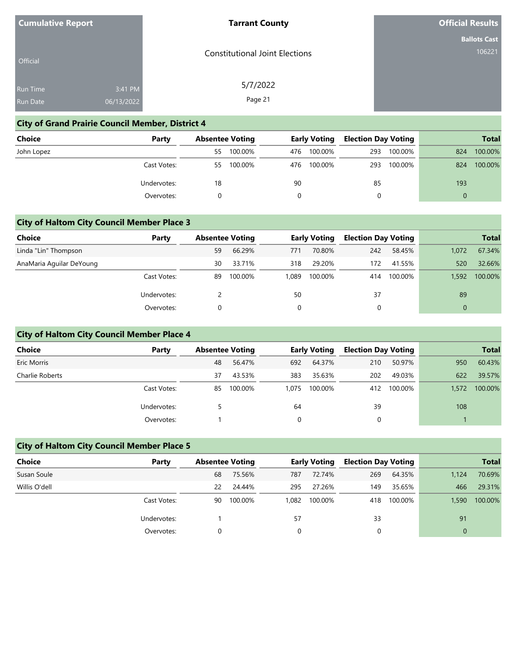| <b>Cumulative Report</b> |  |
|--------------------------|--|
|--------------------------|--|

#### **Tarrant County**

**Official Results**

|  | <b>Ballots Cast</b> |
|--|---------------------|
|  | 106221،             |

|                 | . .        | . .                                   | Bal |
|-----------------|------------|---------------------------------------|-----|
| <b>Official</b> |            | <b>Constitutional Joint Elections</b> |     |
|                 |            | 5/7/2022                              |     |
| <b>Run Time</b> | 3:41 PM    |                                       |     |
| <b>Run Date</b> | 06/13/2022 | Page 21                               |     |

# **City of Grand Prairie Council Member, District 4**

| Choice     | Party       |     | <b>Absentee Voting</b> |     | <b>Early Voting</b> | <b>Election Day Voting</b> |         |     | <b>Total</b> |
|------------|-------------|-----|------------------------|-----|---------------------|----------------------------|---------|-----|--------------|
| John Lopez |             | 55. | 100.00%                | 476 | 100.00%             | 293                        | 100.00% | 824 | 100.00%      |
|            | Cast Votes: | 55. | 100.00%                | 476 | 100.00%             | 293                        | 100.00% | 824 | 100.00%      |
|            | Undervotes: | 18  |                        | 90  |                     | 85                         |         | 193 |              |
|            | Overvotes:  |     |                        | 0   |                     |                            |         |     |              |

### **City of Haltom City Council Member Place 3**

| Choice                   | Party       | <b>Absentee Voting</b> |         |       | <b>Early Voting</b> | <b>Election Day Voting</b> |         |       | <b>Total</b> |
|--------------------------|-------------|------------------------|---------|-------|---------------------|----------------------------|---------|-------|--------------|
| Linda "Lin" Thompson     |             | 59                     | 66.29%  | 771   | 70.80%              | 242                        | 58.45%  | 1.072 | 67.34%       |
| AnaMaria Aguilar DeYoung |             | 30                     | 33.71%  | 318   | 29.20%              | 172                        | 41.55%  | 520   | 32.66%       |
|                          | Cast Votes: | 89                     | 100.00% | 1.089 | 100.00%             | 414                        | 100.00% | 1,592 | 100.00%      |
|                          | Undervotes: |                        |         | 50    |                     | 37                         |         | 89    |              |
|                          | Overvotes:  | 0                      |         | 0     |                     | 0                          |         |       |              |

## **City of Haltom City Council Member Place 4**

| <b>Choice</b>   | Party       | <b>Absentee Voting</b> |         |       | <b>Early Voting</b> | <b>Election Day Voting</b> |         |       | <b>Total</b> |
|-----------------|-------------|------------------------|---------|-------|---------------------|----------------------------|---------|-------|--------------|
| Eric Morris     |             | 48                     | 56.47%  | 692   | 64.37%              | 210                        | 50.97%  | 950   | 60.43%       |
| Charlie Roberts |             | 37                     | 43.53%  | 383   | 35.63%              | 202                        | 49.03%  | 622   | 39.57%       |
|                 | Cast Votes: | 85                     | 100.00% | 1.075 | 100.00%             | 412                        | 100.00% | 1,572 | 100.00%      |
|                 | Undervotes: |                        |         | 64    |                     | 39                         |         | 108   |              |
|                 | Overvotes:  |                        |         | 0     |                     |                            |         |       |              |

## **City of Haltom City Council Member Place 5**

| Choice        | Party       |    | <b>Absentee Voting</b> |       | <b>Early Voting</b> | <b>Election Day Voting</b> |         |          | <b>Total</b> |
|---------------|-------------|----|------------------------|-------|---------------------|----------------------------|---------|----------|--------------|
| Susan Soule   |             | 68 | 75.56%                 | 787   | 72.74%              | 269                        | 64.35%  | 1,124    | 70.69%       |
| Willis O'dell |             | 22 | 24.44%                 | 295   | 27.26%              | 149                        | 35.65%  | 466      | 29.31%       |
|               | Cast Votes: | 90 | 100.00%                | 1,082 | 100.00%             | 418                        | 100.00% | 1,590    | 100.00%      |
|               | Undervotes: |    |                        | 57    |                     | 33                         |         | 91       |              |
|               | Overvotes:  |    |                        | 0     |                     |                            |         | $\Omega$ |              |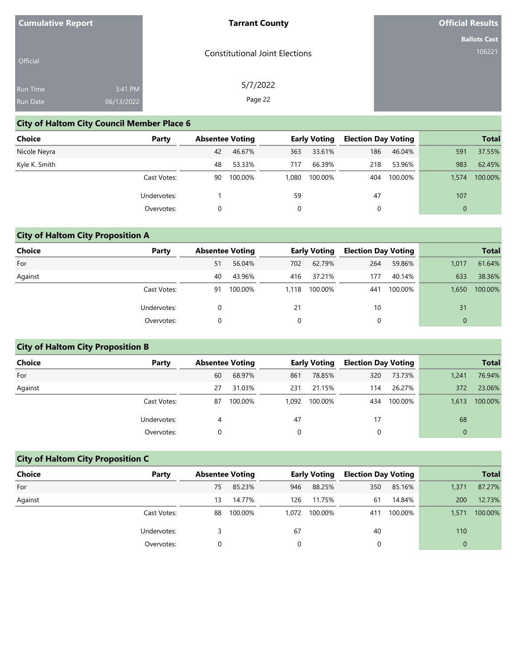| <b>Cumulative Report</b> |            | <b>Tarrant County</b>                 | <b>Official Results</b> |
|--------------------------|------------|---------------------------------------|-------------------------|
|                          |            |                                       | <b>Ballots Cast</b>     |
| Official                 |            | <b>Constitutional Joint Elections</b> | 106221                  |
| Run Time                 | 3:41 PM    | 5/7/2022                              |                         |
| Run Date                 | 06/13/2022 | Page 22                               |                         |

# **City of Haltom City Council Member Place 6**

| <b>Choice</b> | Party       | <b>Absentee Voting</b> |         |       | <b>Early Voting</b> | <b>Election Day Voting</b> |         |              | <b>Total</b> |
|---------------|-------------|------------------------|---------|-------|---------------------|----------------------------|---------|--------------|--------------|
| Nicole Neyra  |             | 42                     | 46.67%  | 363   | 33.61%              | 186                        | 46.04%  | 591          | 37.55%       |
| Kyle K. Smith |             | 48                     | 53.33%  | 717   | 66.39%              | 218                        | 53.96%  | 983          | 62.45%       |
|               | Cast Votes: | 90                     | 100.00% | 1.080 | 100.00%             | 404                        | 100.00% | 1.574        | 100.00%      |
|               | Undervotes: |                        |         | 59    |                     | 47                         |         | 107          |              |
|               | Overvotes:  | 0                      |         |       |                     | 0                          |         | $\mathbf{0}$ |              |

# **City of Haltom City Proposition A**

| <b>Choice</b> | Party       | <b>Absentee Voting</b> |         |       | <b>Early Voting</b> | <b>Election Day Voting</b> |         |       | <b>Total</b> |
|---------------|-------------|------------------------|---------|-------|---------------------|----------------------------|---------|-------|--------------|
| For           |             | 51                     | 56.04%  | 702   | 62.79%              | 264                        | 59.86%  | 1,017 | 61.64%       |
| Against       |             | 40                     | 43.96%  | 416   | 37.21%              | 177                        | 40.14%  | 633   | 38.36%       |
|               | Cast Votes: | 91                     | 100.00% | 1.118 | 100.00%             | 441                        | 100.00% | 1,650 | 100.00%      |
|               | Undervotes: |                        |         | 21    |                     | 10                         |         | 31    |              |
|               | Overvotes:  |                        |         | 0     |                     |                            |         |       |              |

# **City of Haltom City Proposition B**

| Choice  | Party       | <b>Absentee Voting</b> |         |       | Early Voting | <b>Election Day Voting</b> |         |          | <b>Total</b> |
|---------|-------------|------------------------|---------|-------|--------------|----------------------------|---------|----------|--------------|
| For     |             | 60                     | 68.97%  | 861   | 78.85%       | 320                        | 73.73%  | 1,241    | 76.94%       |
| Against |             | 27                     | 31.03%  | 231   | 21.15%       | 114                        | 26.27%  | 372      | 23.06%       |
|         | Cast Votes: | 87                     | 100.00% | 1.092 | 100.00%      | 434                        | 100.00% | 1.613    | 100.00%      |
|         | Undervotes: | 4                      |         | 47    |              | 17                         |         | 68       |              |
|         | Overvotes:  |                        |         |       |              |                            |         | $\Omega$ |              |

# **City of Haltom City Proposition C**

| <b>Choice</b> | Party       |    | <b>Absentee Voting</b> |          | <b>Early Voting</b> | <b>Election Day Voting</b> |         |          | <b>Total</b> |
|---------------|-------------|----|------------------------|----------|---------------------|----------------------------|---------|----------|--------------|
| For           |             | 75 | 85.23%                 | 946      | 88.25%              | 350                        | 85.16%  | 1,371    | 87.27%       |
| Against       |             | 13 | 14.77%                 | 126      | 11.75%              | 61                         | 14.84%  | 200      | 12.73%       |
|               | Cast Votes: | 88 | 100.00%                | 1,072    | 100.00%             | 411                        | 100.00% | 1,571    | 100.00%      |
|               | Undervotes: |    |                        | 67       |                     | 40                         |         | 110      |              |
|               | Overvotes:  |    |                        | $\Omega$ |                     |                            |         | $\Omega$ |              |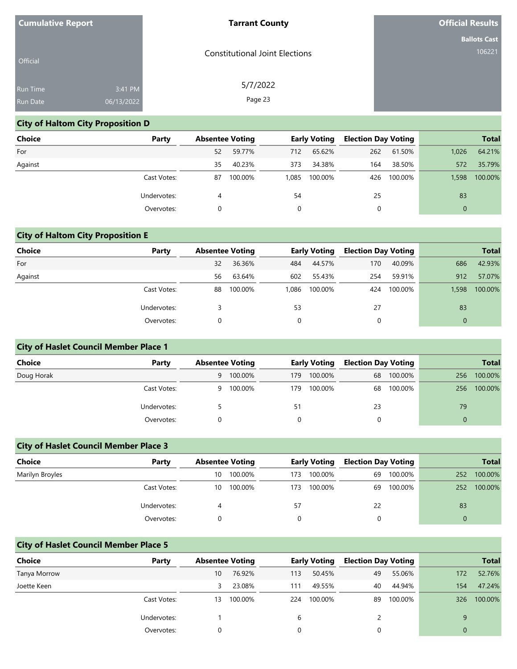| <b>Cumulative Report</b> |            | <b>Tarrant County</b>                 | <b>Official Results</b> |
|--------------------------|------------|---------------------------------------|-------------------------|
|                          |            |                                       | <b>Ballots Cast</b>     |
| Official                 |            | <b>Constitutional Joint Elections</b> | 106221                  |
| Run Time                 | 3:41 PM    | 5/7/2022                              |                         |
| Run Date                 | 06/13/2022 | Page 23                               |                         |

# **City of Haltom City Proposition D**

| Choice  | Party       |    | <b>Absentee Voting</b> |       | <b>Early Voting</b> | <b>Election Day Voting</b> |         |          | <b>Total</b> |
|---------|-------------|----|------------------------|-------|---------------------|----------------------------|---------|----------|--------------|
| For     |             | 52 | 59.77%                 | 712   | 65.62%              | 262                        | 61.50%  | 1.026    | 64.21%       |
| Against |             | 35 | 40.23%                 | 373   | 34.38%              | 164                        | 38.50%  | 572      | 35.79%       |
|         | Cast Votes: | 87 | 100.00%                | 1.085 | 100.00%             | 426                        | 100.00% | 1.598    | 100.00%      |
|         | Undervotes: | 4  |                        | 54    |                     | 25                         |         | 83       |              |
|         | Overvotes:  |    |                        |       |                     | 0                          |         | $\Omega$ |              |

# **City of Haltom City Proposition E**

| <b>Choice</b> | Party       | <b>Absentee Voting</b> |         |       | <b>Early Voting</b> | <b>Election Day Voting</b> |         |              | <b>Total</b> |
|---------------|-------------|------------------------|---------|-------|---------------------|----------------------------|---------|--------------|--------------|
| For           |             | 32                     | 36.36%  | 484   | 44.57%              | 170                        | 40.09%  | 686          | 42.93%       |
| Against       |             | 56                     | 63.64%  | 602   | 55.43%              | 254                        | 59.91%  | 912          | 57.07%       |
|               | Cast Votes: | 88                     | 100.00% | 1,086 | 100.00%             | 424                        | 100.00% | 1,598        | 100.00%      |
|               | Undervotes: |                        |         | 53    |                     | 27                         |         | 83           |              |
|               | Overvotes:  |                        |         | 0     |                     | 0                          |         | $\mathbf{0}$ |              |

## **City of Haslet Council Member Place 1**

| Choice     | Party       | <b>Absentee Voting</b> |         |     |         | <b>Early Voting</b> |         | <b>Election Day Voting</b> |         |  | <b>Total</b> |
|------------|-------------|------------------------|---------|-----|---------|---------------------|---------|----------------------------|---------|--|--------------|
| Doug Horak |             | 9                      | 100.00% | 179 | 100.00% | 68                  | 100.00% | 256                        | 100.00% |  |              |
|            | Cast Votes: | 9                      | 100.00% | 179 | 100.00% | 68                  | 100.00% | 256                        | 100.00% |  |              |
|            | Undervotes: |                        |         | 51  |         | 23                  |         | 79                         |         |  |              |
|            | Overvotes:  |                        |         |     |         | $\Omega$            |         | $\Omega$                   |         |  |              |

## **City of Haslet Council Member Place 3**

| <b>Choice</b>   | Party       | <b>Absentee Voting</b> |         | <b>Early Voting</b> |         | <b>Election Day Voting</b> |         |     | <b>Total</b> |
|-----------------|-------------|------------------------|---------|---------------------|---------|----------------------------|---------|-----|--------------|
| Marilyn Broyles |             | 10                     | 100.00% | 173                 | 100.00% | 69                         | 100.00% | 252 | 100.00%      |
|                 | Cast Votes: | 10                     | 100.00% | 173                 | 100.00% | 69                         | 100.00% | 252 | 100.00%      |
|                 | Undervotes: |                        |         | 57                  |         | 22                         |         | 83  |              |
|                 | Overvotes:  |                        |         |                     |         |                            |         |     |              |

# **City of Haslet Council Member Place 5**

| <b>Choice</b> | Party       | <b>Absentee Voting</b> |         |     | <b>Early Voting</b> | <b>Election Day Voting</b> |         |          | <b>Total</b> |
|---------------|-------------|------------------------|---------|-----|---------------------|----------------------------|---------|----------|--------------|
| Tanya Morrow  |             | 10                     | 76.92%  | 113 | 50.45%              | 49                         | 55.06%  | 172      | 52.76%       |
| Joette Keen   |             |                        | 23.08%  | 111 | 49.55%              | 40                         | 44.94%  | 154      | 47.24%       |
|               | Cast Votes: | 13                     | 100.00% | 224 | 100.00%             | 89                         | 100.00% | 326      | 100.00%      |
|               | Undervotes: |                        |         | b   |                     |                            |         | 9        |              |
|               | Overvotes:  |                        |         |     |                     |                            |         | $\Omega$ |              |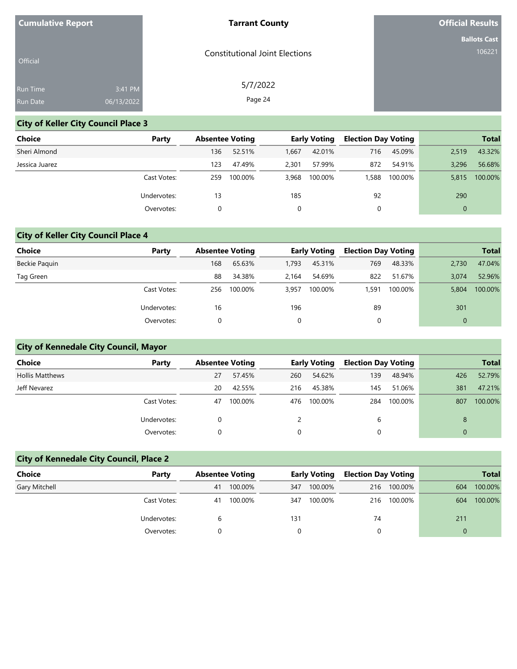| <b>Cumulative Report</b> |            | <b>Tarrant County</b>                 | <b>Official Results</b> |
|--------------------------|------------|---------------------------------------|-------------------------|
|                          |            |                                       | <b>Ballots Cast</b>     |
| Official                 |            | <b>Constitutional Joint Elections</b> | 106221                  |
| Run Time                 | 3:41 PM    | 5/7/2022                              |                         |
| Run Date                 | 06/13/2022 | Page 24                               |                         |

# **City of Keller City Council Place 3**

| Choice         | Party       | <b>Absentee Voting</b> |         |       | <b>Early Voting</b> | <b>Election Day Voting</b> |         |          | <b>Total</b> |
|----------------|-------------|------------------------|---------|-------|---------------------|----------------------------|---------|----------|--------------|
| Sheri Almond   |             | 136                    | 52.51%  | 1,667 | 42.01%              | 716                        | 45.09%  | 2,519    | 43.32%       |
| Jessica Juarez |             | 123                    | 47.49%  | 2.301 | 57.99%              | 872                        | 54.91%  | 3.296    | 56.68%       |
|                | Cast Votes: | 259                    | 100.00% | 3.968 | 100.00%             | 1.588                      | 100.00% | 5,815    | 100.00%      |
|                | Undervotes: | 13                     |         | 185   |                     | 92                         |         | 290      |              |
|                | Overvotes:  |                        |         |       |                     | 0                          |         | $\Omega$ |              |

# **City of Keller City Council Place 4**

| <b>Choice</b> | Party       | <b>Absentee Voting</b> |         |       | Early Voting |       | <b>Election Day Voting</b> |       | <b>Total</b> |
|---------------|-------------|------------------------|---------|-------|--------------|-------|----------------------------|-------|--------------|
| Beckie Paquin |             | 168                    | 65.63%  | 1.793 | 45.31%       | 769   | 48.33%                     | 2.730 | 47.04%       |
| Tag Green     |             | 88                     | 34.38%  | 2.164 | 54.69%       | 822   | 51.67%                     | 3.074 | 52.96%       |
|               | Cast Votes: | 256                    | 100.00% | 3,957 | 100.00%      | 1,591 | 100.00%                    | 5,804 | 100.00%      |
|               | Undervotes: | 16                     |         | 196   |              | 89    |                            | 301   |              |
|               | Overvotes:  |                        |         | 0     |              |       |                            |       |              |

# **City of Kennedale City Council, Mayor**

| Choice                 | Party       | <b>Absentee Voting</b> |         |     | <b>Early Voting</b> | <b>Election Day Voting</b> |         |     | <b>Total</b> |
|------------------------|-------------|------------------------|---------|-----|---------------------|----------------------------|---------|-----|--------------|
| <b>Hollis Matthews</b> |             | 27                     | 57.45%  | 260 | 54.62%              | 139                        | 48.94%  | 426 | 52.79%       |
| Jeff Nevarez           |             | 20                     | 42.55%  | 216 | 45.38%              | 145                        | 51.06%  | 381 | 47.21%       |
|                        | Cast Votes: | 47                     | 100.00% | 476 | 100.00%             | 284                        | 100.00% | 807 | 100.00%      |
|                        | Undervotes: |                        |         |     |                     | 6                          |         | 8   |              |
|                        | Overvotes:  |                        |         | 0   |                     | 0                          |         | 0   |              |

# **City of Kennedale City Council, Place 2**

| <b>Choice</b> | Party       |    | <b>Absentee Voting</b> |     | <b>Early Voting</b> |     | <b>Election Day Voting</b> |     | <b>Total</b> |
|---------------|-------------|----|------------------------|-----|---------------------|-----|----------------------------|-----|--------------|
| Gary Mitchell |             | 41 | 100.00%                | 347 | 100.00%             | 216 | 100.00%                    | 604 | 100.00%      |
|               | Cast Votes: | 41 | 100.00%                | 347 | 100.00%             | 216 | 100.00%                    | 604 | 100.00%      |
|               | Undervotes: | b  |                        | 131 |                     | 74  |                            | 211 |              |
|               | Overvotes:  |    |                        |     |                     |     |                            |     |              |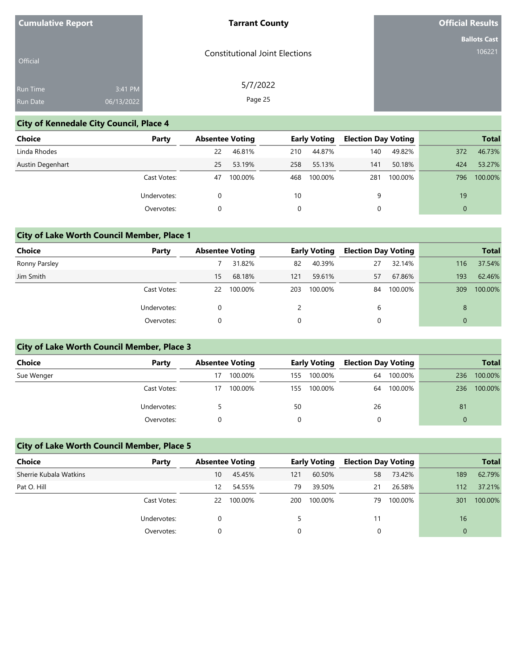| <b>Cumulative Report</b> |            | <b>Tarrant County</b>                 | <b>Official Results</b> |
|--------------------------|------------|---------------------------------------|-------------------------|
|                          |            |                                       | <b>Ballots Cast</b>     |
| Official                 |            | <b>Constitutional Joint Elections</b> | 106221                  |
| Run Time                 | 3:41 PM    | 5/7/2022                              |                         |
| Run Date                 | 06/13/2022 | Page 25                               |                         |

# **City of Kennedale City Council, Place 4**

| <b>Choice</b>    | Party       | <b>Absentee Voting</b> |         |     | <b>Early Voting</b> | <b>Election Day Voting</b> |         |          | <b>Total</b> |
|------------------|-------------|------------------------|---------|-----|---------------------|----------------------------|---------|----------|--------------|
| Linda Rhodes     |             | 22                     | 46.81%  | 210 | 44.87%              | 140                        | 49.82%  | 372      | 46.73%       |
| Austin Degenhart |             | 25                     | 53.19%  | 258 | 55.13%              | 141                        | 50.18%  | 424      | 53.27%       |
|                  | Cast Votes: | 47                     | 100.00% | 468 | 100.00%             | 281                        | 100.00% | 796      | 100.00%      |
|                  | Undervotes: | 0                      |         | 10  |                     | 9                          |         | 19       |              |
|                  | Overvotes:  |                        |         |     |                     | 0                          |         | $\Omega$ |              |

## **City of Lake Worth Council Member, Place 1**

| <b>Choice</b> | Party       | <b>Absentee Voting</b> |         |          | <b>Early Voting</b> | <b>Election Day Voting</b> |         |     | <b>Total</b> |
|---------------|-------------|------------------------|---------|----------|---------------------|----------------------------|---------|-----|--------------|
| Ronny Parsley |             |                        | 31.82%  | 82       | 40.39%              | 27                         | 32.14%  | 116 | 37.54%       |
| Jim Smith     |             | 15                     | 68.18%  | 121      | 59.61%              | 57                         | 67.86%  | 193 | 62.46%       |
|               | Cast Votes: | 22                     | 100.00% | 203      | 100.00%             | 84                         | 100.00% | 309 | 100.00%      |
|               | Undervotes: |                        |         |          |                     | b                          |         | 8   |              |
|               | Overvotes:  |                        |         | $\Omega$ |                     |                            |         |     |              |

## **City of Lake Worth Council Member, Place 3**

| <b>Choice</b> | Party       | <b>Absentee Voting</b> |         |     |         | <b>Early Voting</b> |         | <b>Election Day Voting</b> |         |  | <b>Total</b> |
|---------------|-------------|------------------------|---------|-----|---------|---------------------|---------|----------------------------|---------|--|--------------|
| Sue Wenger    |             | 17                     | 100.00% | 155 | 100.00% | 64                  | 100.00% | 236                        | 100.00% |  |              |
|               | Cast Votes: | 17                     | 100.00% | 155 | 100.00% | 64                  | 100.00% | 236                        | 100.00% |  |              |
|               | Undervotes: |                        |         | 50  |         | 26                  |         | 81                         |         |  |              |
|               | Overvotes:  |                        |         |     |         |                     |         | 0                          |         |  |              |

## **City of Lake Worth Council Member, Place 5**

| Choice                 | Party       | <b>Absentee Voting</b> |         |     | <b>Early Voting</b> | <b>Election Day Voting</b> |         |          | <b>Total</b> |
|------------------------|-------------|------------------------|---------|-----|---------------------|----------------------------|---------|----------|--------------|
| Sherrie Kubala Watkins |             | 10                     | 45.45%  | 121 | 60.50%              | 58                         | 73.42%  | 189      | 62.79%       |
| Pat O. Hill            |             | 12                     | 54.55%  | 79  | 39.50%              | 21                         | 26.58%  | 112      | 37.21%       |
|                        | Cast Votes: | 22                     | 100.00% | 200 | 100.00%             | 79                         | 100.00% | 301      | 100.00%      |
|                        | Undervotes: |                        |         |     |                     | 11                         |         | 16       |              |
|                        | Overvotes:  |                        |         |     |                     |                            |         | $\Omega$ |              |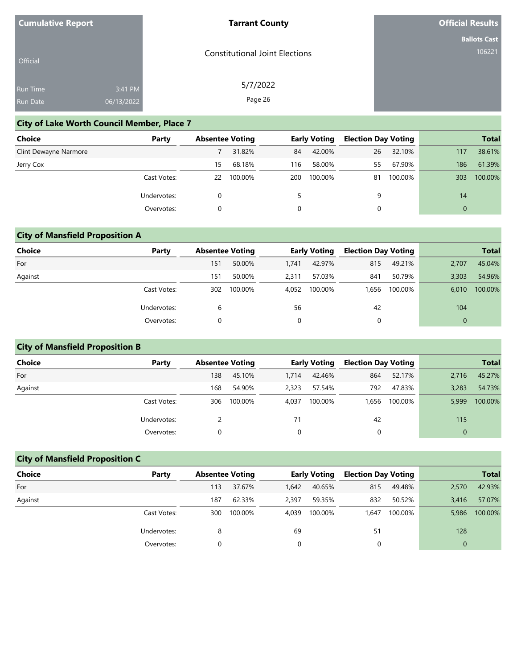| <b>Cumulative Report</b> |            | <b>Tarrant County</b>                 | <b>Official Results</b> |
|--------------------------|------------|---------------------------------------|-------------------------|
|                          |            |                                       | <b>Ballots Cast</b>     |
| Official                 |            | <b>Constitutional Joint Elections</b> | 106221                  |
| Run Time                 | 3:41 PM    | 5/7/2022                              |                         |
| Run Date                 | 06/13/2022 | Page 26                               |                         |

## **City of Lake Worth Council Member, Place 7**

| Choice                | Party       | <b>Absentee Voting</b> |         |     | <b>Early Voting</b> | <b>Election Day Voting</b> |         |          | <b>Total</b> |
|-----------------------|-------------|------------------------|---------|-----|---------------------|----------------------------|---------|----------|--------------|
| Clint Dewayne Narmore |             |                        | 31.82%  | 84  | 42.00%              | 26                         | 32.10%  | 117      | 38.61%       |
| Jerry Cox             |             | 15                     | 68.18%  | 116 | 58.00%              | 55                         | 67.90%  | 186      | 61.39%       |
|                       | Cast Votes: | 22                     | 100.00% | 200 | 100.00%             | 81                         | 100.00% | 303      | 100.00%      |
|                       | Undervotes: | 0                      |         | 5.  |                     | 9                          |         | 14       |              |
|                       | Overvotes:  |                        |         |     |                     |                            |         | $\Omega$ |              |

# **City of Mansfield Proposition A**

| <b>Choice</b> | Party       | <b>Absentee Voting</b> |         |       | <b>Early Voting</b> | <b>Election Day Voting</b> |         |              | <b>Total</b> |
|---------------|-------------|------------------------|---------|-------|---------------------|----------------------------|---------|--------------|--------------|
| For           |             | 151                    | 50.00%  | 1.741 | 42.97%              | 815                        | 49.21%  | 2,707        | 45.04%       |
| Against       |             | 151                    | 50.00%  | 2.311 | 57.03%              | 841                        | 50.79%  | 3,303        | 54.96%       |
|               | Cast Votes: | 302                    | 100.00% | 4,052 | 100.00%             | 1.656                      | 100.00% | 6,010        | 100.00%      |
|               | Undervotes: | 6                      |         | 56    |                     | 42                         |         | 104          |              |
|               | Overvotes:  |                        |         | 0     |                     | 0                          |         | $\mathbf{0}$ |              |

# **City of Mansfield Proposition B**

| <b>Choice</b> | Party       | <b>Absentee Voting</b> |         |       | <b>Early Voting</b> | <b>Election Day Voting</b> |         |          | <b>Total</b> |
|---------------|-------------|------------------------|---------|-------|---------------------|----------------------------|---------|----------|--------------|
| For           |             | 138                    | 45.10%  | 1,714 | 42.46%              | 864                        | 52.17%  | 2.716    | 45.27%       |
| Against       |             | 168                    | 54.90%  | 2.323 | 57.54%              | 792                        | 47.83%  | 3.283    | 54.73%       |
|               | Cast Votes: | 306                    | 100.00% | 4.037 | 100.00%             | 1.656                      | 100.00% | 5,999    | 100.00%      |
|               | Undervotes: |                        |         | 71    |                     | 42                         |         | 115      |              |
|               | Overvotes:  |                        |         |       |                     |                            |         | $\Omega$ |              |

# **City of Mansfield Proposition C**

| Choice  | Party       | <b>Absentee Voting</b> |         |       | <b>Early Voting</b> | <b>Election Day Voting</b> |         |              | <b>Total</b> |
|---------|-------------|------------------------|---------|-------|---------------------|----------------------------|---------|--------------|--------------|
| For     |             | 113                    | 37.67%  | 1,642 | 40.65%              | 815                        | 49.48%  | 2,570        | 42.93%       |
| Against |             | 187                    | 62.33%  | 2,397 | 59.35%              | 832                        | 50.52%  | 3.416        | 57.07%       |
|         | Cast Votes: | 300                    | 100.00% | 4.039 | 100.00%             | 1.647                      | 100.00% | 5,986        | 100.00%      |
|         | Undervotes: | 8                      |         | 69    |                     | 51                         |         | 128          |              |
|         | Overvotes:  |                        |         | 0     |                     | 0                          |         | $\mathbf{0}$ |              |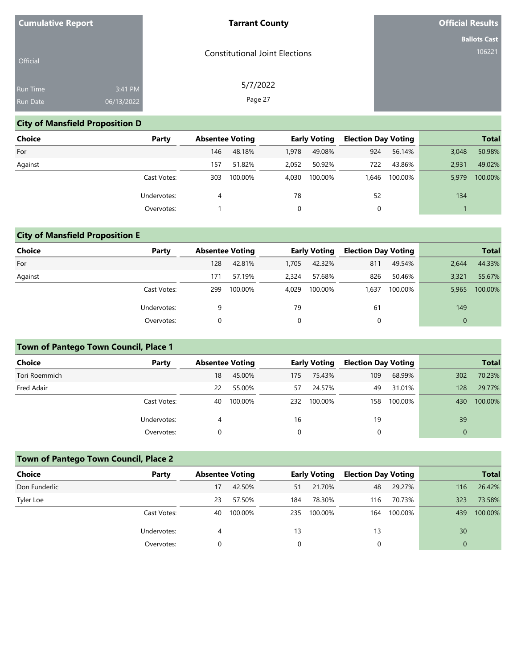| <b>Cumulative Report</b> |            | <b>Tarrant County</b>                 | <b>Official Results</b> |
|--------------------------|------------|---------------------------------------|-------------------------|
|                          |            |                                       | <b>Ballots Cast</b>     |
| Official                 |            | <b>Constitutional Joint Elections</b> | 106221                  |
| Run Time                 | 3:41 PM    | 5/7/2022                              |                         |
| Run Date                 | 06/13/2022 | Page 27                               |                         |

# **City of Mansfield Proposition D**

| <b>Choice</b> | Party       | <b>Absentee Voting</b> |         |          | <b>Early Voting</b> | <b>Election Day Voting</b> |         |       | <b>Total</b> |
|---------------|-------------|------------------------|---------|----------|---------------------|----------------------------|---------|-------|--------------|
| For           |             | 146                    | 48.18%  | 1.978    | 49.08%              | 924                        | 56.14%  | 3,048 | 50.98%       |
| Against       |             | 157                    | 51.82%  | 2.052    | 50.92%              | 722                        | 43.86%  | 2.931 | 49.02%       |
|               | Cast Votes: | 303                    | 100.00% | 4.030    | 100.00%             | 1.646                      | 100.00% | 5,979 | 100.00%      |
|               | Undervotes: | 4                      |         | 78       |                     | 52                         |         | 134   |              |
|               | Overvotes:  |                        |         | $\Omega$ |                     | 0                          |         |       |              |

# **City of Mansfield Proposition E**

| <b>Choice</b> | Party       | <b>Absentee Voting</b> |         |       | <b>Early Voting</b> | <b>Election Day Voting</b> |         |              | <b>Total</b> |
|---------------|-------------|------------------------|---------|-------|---------------------|----------------------------|---------|--------------|--------------|
| For           |             | 128                    | 42.81%  | 1,705 | 42.32%              | 811                        | 49.54%  | 2.644        | 44.33%       |
| Against       |             | 171                    | 57.19%  | 2.324 | 57.68%              | 826                        | 50.46%  | 3,321        | 55.67%       |
|               | Cast Votes: | 299                    | 100.00% | 4.029 | 100.00%             | 1,637                      | 100.00% | 5,965        | 100.00%      |
|               | Undervotes: | 9                      |         | 79    |                     | 61                         |         | 149          |              |
|               | Overvotes:  |                        |         | 0     |                     | 0                          |         | $\mathbf{0}$ |              |

# **Town of Pantego Town Council, Place 1**

| <b>Choice</b> | Party       | <b>Absentee Voting</b> |         |     | <b>Early Voting</b> | <b>Election Day Voting</b> |         |     | <b>Total</b> |
|---------------|-------------|------------------------|---------|-----|---------------------|----------------------------|---------|-----|--------------|
| Tori Roemmich |             | 18                     | 45.00%  | 175 | 75.43%              | 109                        | 68.99%  | 302 | 70.23%       |
| Fred Adair    |             | 22                     | 55.00%  | 57  | 24.57%              | 49                         | 31.01%  | 128 | 29.77%       |
|               | Cast Votes: | 40                     | 100.00% | 232 | 100.00%             | 158                        | 100.00% | 430 | 100.00%      |
|               | Undervotes: | 4                      |         | 16  |                     | 19                         |         | 39  |              |
|               | Overvotes:  |                        |         | 0   |                     |                            |         |     |              |

# **Town of Pantego Town Council, Place 2**

| <b>Choice</b> | Party       | <b>Absentee Voting</b> |         |     | <b>Early Voting</b> | <b>Election Day Voting</b> |         |          | <b>Total</b> |
|---------------|-------------|------------------------|---------|-----|---------------------|----------------------------|---------|----------|--------------|
| Don Funderlic |             | 17                     | 42.50%  | 51  | 21.70%              | 48                         | 29.27%  | 116      | 26.42%       |
| Tyler Loe     |             | 23                     | 57.50%  | 184 | 78.30%              | 116                        | 70.73%  | 323      | 73.58%       |
|               | Cast Votes: | 40                     | 100.00% | 235 | 100.00%             | 164                        | 100.00% | 439      | 100.00%      |
|               | Undervotes: | 4                      |         | 13  |                     | 13                         |         | 30       |              |
|               | Overvotes:  |                        |         |     |                     |                            |         | $\Omega$ |              |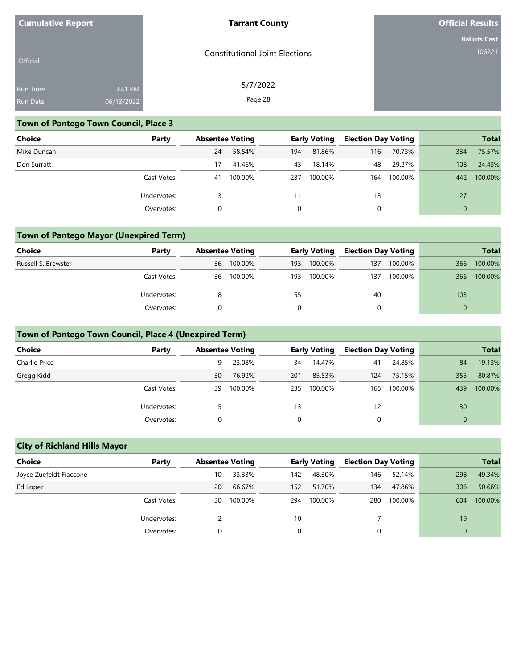| <b>Cumulative Report</b> |            | <b>Tarrant County</b>                 | <b>Official Results</b> |
|--------------------------|------------|---------------------------------------|-------------------------|
|                          |            |                                       | <b>Ballots Cast</b>     |
| Official                 |            | <b>Constitutional Joint Elections</b> | 106221                  |
| Run Time                 | 3:41 PM    | 5/7/2022                              |                         |
| Run Date                 | 06/13/2022 | Page 28                               |                         |

## **Town of Pantego Town Council, Place 3**

| Choice      | Party       | <b>Absentee Voting</b> |         |     | <b>Early Voting</b> | <b>Election Day Voting</b> |         |          | <b>Total</b> |
|-------------|-------------|------------------------|---------|-----|---------------------|----------------------------|---------|----------|--------------|
| Mike Duncan |             | 24                     | 58.54%  | 194 | 81.86%              | 116                        | 70.73%  | 334      | 75.57%       |
| Don Surratt |             | 17                     | 41.46%  | 43  | 18.14%              | 48                         | 29.27%  | 108      | 24.43%       |
|             | Cast Votes: | 41                     | 100.00% | 237 | 100.00%             | 164                        | 100.00% | 442      | 100.00%      |
|             | Undervotes: |                        |         | 11  |                     | 13                         |         | 27       |              |
|             | Overvotes:  |                        |         |     |                     | 0                          |         | $\Omega$ |              |

# **Town of Pantego Mayor (Unexpired Term)**

| Choice              | Party       |    | <b>Absentee Voting</b> |     | <b>Early Voting</b> | <b>Election Day Voting</b> |         |     | <b>Total</b> |
|---------------------|-------------|----|------------------------|-----|---------------------|----------------------------|---------|-----|--------------|
| Russell S. Brewster |             | 36 | 100.00%                | 193 | 100.00%             | 137                        | 100.00% | 366 | 100.00%      |
|                     | Cast Votes: | 36 | 100.00%                | 193 | 100.00%             | 137                        | 100.00% | 366 | 100.00%      |
|                     | Undervotes: |    |                        | 55  |                     | 40                         |         | 103 |              |
|                     | Overvotes:  |    |                        |     |                     |                            |         |     |              |

## **Town of Pantego Town Council, Place 4 (Unexpired Term)**

| <b>Choice</b> | Party       | <b>Absentee Voting</b> |         |     | <b>Early Voting</b> | <b>Election Day Voting</b> |         |     | <b>Total</b> |
|---------------|-------------|------------------------|---------|-----|---------------------|----------------------------|---------|-----|--------------|
| Charlie Price |             | 9                      | 23.08%  | 34  | 14.47%              | 41                         | 24.85%  | 84  | 19.13%       |
| Gregg Kidd    |             | 30                     | 76.92%  | 201 | 85.53%              | 124                        | 75.15%  | 355 | 80.87%       |
|               | Cast Votes: | 39                     | 100.00% | 235 | 100.00%             | 165                        | 100.00% | 439 | 100.00%      |
| Undervotes:   |             |                        |         | 13  |                     | 12                         |         | 30  |              |
|               | Overvotes:  |                        |         |     |                     |                            |         | 0   |              |

## **City of Richland Hills Mayor**

| <b>Choice</b>           | Party       | <b>Absentee Voting</b> |         |     | <b>Early Voting</b> | <b>Election Day Voting</b> |         |     | <b>Total</b> |
|-------------------------|-------------|------------------------|---------|-----|---------------------|----------------------------|---------|-----|--------------|
| Joyce Zuefeldt Fiaccone |             | 10                     | 33.33%  | 142 | 48.30%              | 146                        | 52.14%  | 298 | 49.34%       |
| Ed Lopez                |             | 20                     | 66.67%  | 152 | 51.70%              | 134                        | 47.86%  | 306 | 50.66%       |
|                         | Cast Votes: | 30                     | 100.00% | 294 | 100.00%             | 280                        | 100.00% | 604 | 100.00%      |
|                         | Undervotes: |                        |         | 10  |                     |                            |         | 19  |              |
|                         | Overvotes:  |                        |         | 0   |                     |                            |         |     |              |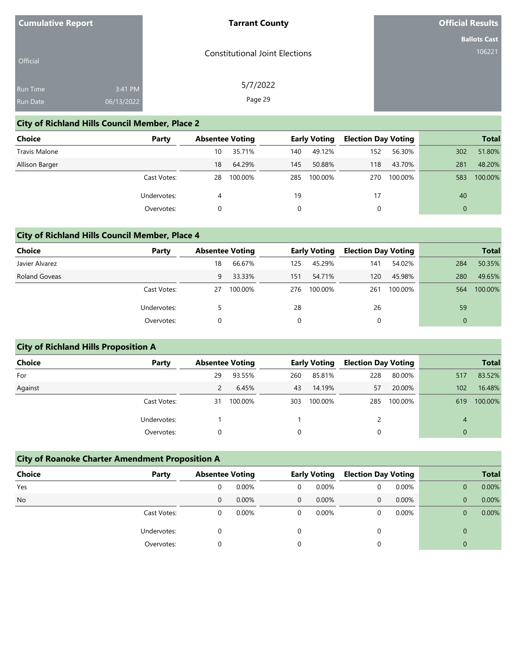| <b>Cumulative Report</b> |  |
|--------------------------|--|
|--------------------------|--|

### **Tarrant County**

**Official Results**

|  | <b>Ballots Cast</b> |
|--|---------------------|
|  | 106221              |

| <b>Official</b> |            | <b>Constitutional Joint Elections</b> |
|-----------------|------------|---------------------------------------|
| <b>Run Time</b> | 3:41 PM    | 5/7/2022                              |
| <b>Run Date</b> | 06/13/2022 | Page 29                               |

# **City of Richland Hills Council Member, Place 2**

| <b>Choice</b>  | Party       | <b>Absentee Voting</b> |         |     | <b>Early Voting</b> | <b>Election Day Voting</b> |         |          | <b>Total</b> |
|----------------|-------------|------------------------|---------|-----|---------------------|----------------------------|---------|----------|--------------|
| Travis Malone  |             | 10                     | 35.71%  | 140 | 49.12%              | 152                        | 56.30%  | 302      | 51.80%       |
| Allison Barger |             | 18                     | 64.29%  | 145 | 50.88%              | 118                        | 43.70%  | 281      | 48.20%       |
|                | Cast Votes: | 28                     | 100.00% | 285 | 100.00%             | 270                        | 100.00% | 583      | 100.00%      |
|                | Undervotes: | 4                      |         | 19  |                     | 17                         |         | 40       |              |
|                | Overvotes:  |                        |         | 0   |                     | 0                          |         | $\Omega$ |              |

# **City of Richland Hills Council Member, Place 4**

| <b>Choice</b>        | Party       | <b>Absentee Voting</b> |         |     | <b>Early Voting</b> | <b>Election Day Voting</b> |         |     | <b>Total</b> |
|----------------------|-------------|------------------------|---------|-----|---------------------|----------------------------|---------|-----|--------------|
| Javier Alvarez       |             | 18                     | 66.67%  | 125 | 45.29%              | 141                        | 54.02%  | 284 | 50.35%       |
| <b>Roland Goveas</b> |             | 9                      | 33.33%  | 151 | 54.71%              | 120                        | 45.98%  | 280 | 49.65%       |
|                      | Cast Votes: | 27                     | 100.00% | 276 | 100.00%             | 261                        | 100.00% | 564 | 100.00%      |
|                      | Undervotes: |                        |         | 28  |                     | 26                         |         | 59  |              |
|                      | Overvotes:  |                        |         | 0   |                     |                            |         |     |              |

# **City of Richland Hills Proposition A**

| Choice  | Party       | <b>Absentee Voting</b> |         |     | <b>Early Voting</b> | <b>Election Day Voting</b> |         |                  | <b>Total</b> |
|---------|-------------|------------------------|---------|-----|---------------------|----------------------------|---------|------------------|--------------|
| For     |             | 29                     | 93.55%  | 260 | 85.81%              | 228                        | 80.00%  | 517              | 83.52%       |
| Against |             |                        | 6.45%   | 43  | 14.19%              | 57                         | 20.00%  | 102 <sub>1</sub> | 16.48%       |
|         | Cast Votes: | 31                     | 100.00% | 303 | 100.00%             | 285                        | 100.00% | 619              | 100.00%      |
|         | Undervotes: |                        |         |     |                     |                            |         | 4                |              |
|         | Overvotes:  |                        |         | 0   |                     | 0                          |         | $\Omega$         |              |

| <b>City of Roanoke Charter Amendment Proposition A</b> |             |                        |          |                |                     |   |                            |  |              |              |
|--------------------------------------------------------|-------------|------------------------|----------|----------------|---------------------|---|----------------------------|--|--------------|--------------|
| <b>Choice</b>                                          | Party       | <b>Absentee Voting</b> |          |                | <b>Early Voting</b> |   | <b>Election Day Voting</b> |  |              | <b>Total</b> |
| Yes                                                    |             | 0                      | $0.00\%$ | 0              | $0.00\%$            | 0 | 0.00%                      |  | $\mathbf 0$  | 0.00%        |
| <b>No</b>                                              |             | 0                      | 0.00%    | $\overline{0}$ | $0.00\%$            | 0 | 0.00%                      |  | $\Omega$     | 0.00%        |
|                                                        | Cast Votes: | 0                      | $0.00\%$ | $\Omega$       | $0.00\%$            | 0 | 0.00%                      |  | 0            | 0.00%        |
|                                                        | Undervotes: | 0                      |          | $\Omega$       |                     | 0 |                            |  | $\Omega$     |              |
|                                                        | Overvotes:  | 0                      |          |                |                     | 0 |                            |  | $\mathbf{0}$ |              |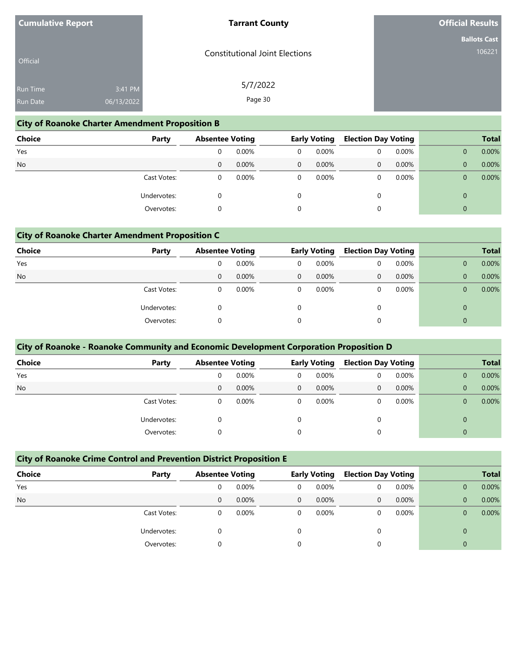| <b>Cumulative Report</b> |                       | <b>Tarrant County</b>                 | <b>Official Results</b>       |
|--------------------------|-----------------------|---------------------------------------|-------------------------------|
| Official                 |                       | <b>Constitutional Joint Elections</b> | <b>Ballots Cast</b><br>106221 |
| Run Time<br>Run Date     | 3:41 PM<br>06/13/2022 | 5/7/2022<br>Page 30                   |                               |

## **City of Roanoke Charter Amendment Proposition B**

| <b>Choice</b> | Party       | <b>Absentee Voting</b> |          | <b>Early Voting</b> |       | <b>Election Day Voting</b> |          |          | <b>Total</b> |
|---------------|-------------|------------------------|----------|---------------------|-------|----------------------------|----------|----------|--------------|
| Yes           |             | 0                      | 0.00%    | 0                   | 0.00% | 0                          | $0.00\%$ |          | 0.00%        |
| <b>No</b>     |             | 0                      | 0.00%    | $\overline{0}$      | 0.00% | 0                          | 0.00%    |          | 0.00%        |
|               | Cast Votes: | 0                      | $0.00\%$ | 0                   | 0.00% | 0                          | 0.00%    |          | 0.00%        |
|               | Undervotes: | 0                      |          |                     |       |                            |          | $\Omega$ |              |
|               | Overvotes:  | 0                      |          | $\Omega$            |       |                            |          |          |              |

# **City of Roanoke Charter Amendment Proposition C**

| <b>Choice</b> | Party       | <b>Absentee Voting</b> |          | <b>Early Voting</b> |          | <b>Election Day Voting</b> |          |  | <b>Total</b> |
|---------------|-------------|------------------------|----------|---------------------|----------|----------------------------|----------|--|--------------|
| Yes           |             | 0                      | 0.00%    | 0                   | 0.00%    | 0                          | $0.00\%$ |  | 0.00%        |
| <b>No</b>     |             | 0                      | 0.00%    | $\mathbf{0}$        | $0.00\%$ | 0                          | 0.00%    |  | 0.00%        |
|               | Cast Votes: | 0                      | $0.00\%$ | 0                   | 0.00%    |                            | 0.00%    |  | 0.00%        |
| Undervotes:   |             |                        |          | $\Omega$            |          | 0                          |          |  |              |
|               | Overvotes:  |                        |          | $\Omega$            |          |                            |          |  |              |

| City of Roanoke - Roanoke Community and Economic Development Corporation Proposition D |             |                        |          |          |              |          |                            |              |              |  |  |  |
|----------------------------------------------------------------------------------------|-------------|------------------------|----------|----------|--------------|----------|----------------------------|--------------|--------------|--|--|--|
| <b>Choice</b>                                                                          | Party       | <b>Absentee Voting</b> |          |          | Early Voting |          | <b>Election Day Voting</b> |              | <b>Total</b> |  |  |  |
| Yes                                                                                    |             | 0                      | 0.00%    | $\Omega$ | 0.00%        | 0        | 0.00%                      | $\mathbf{0}$ | 0.00%        |  |  |  |
| <b>No</b>                                                                              |             | 0                      | $0.00\%$ | $\Omega$ | $0.00\%$     | 0        | 0.00%                      | $\mathbf{0}$ | 0.00%        |  |  |  |
|                                                                                        | Cast Votes: | 0                      | 0.00%    | $\Omega$ | $0.00\%$     |          | 0.00%                      | $\Omega$     | 0.00%        |  |  |  |
|                                                                                        | Undervotes: | 0                      |          |          |              |          |                            | $\Omega$     |              |  |  |  |
|                                                                                        | Overvotes:  | 0                      |          |          |              | $\Omega$ |                            | $\mathbf{0}$ |              |  |  |  |

# **City of Roanoke Crime Control and Prevention District Proposition E**

| <b>Choice</b><br>Party |   | <b>Absentee Voting</b> |          | <b>Early Voting</b> |          | <b>Election Day Voting</b> |          | <b>Total</b> |
|------------------------|---|------------------------|----------|---------------------|----------|----------------------------|----------|--------------|
| Yes                    |   | 0.00%                  | 0        | $0.00\%$            | 0        | $0.00\%$                   |          | 0.00%        |
| <b>No</b>              | 0 | 0.00%                  | $\Omega$ | $0.00\%$            | $\Omega$ | 0.00%                      |          | 0.00%        |
| Cast Votes:            |   | 0.00%                  | 0        | $0.00\%$            |          | 0.00%                      |          | 0.00%        |
| Undervotes:            |   |                        |          |                     | $\Omega$ |                            | $\Omega$ |              |
| Overvotes:             |   |                        |          |                     |          |                            | $\Omega$ |              |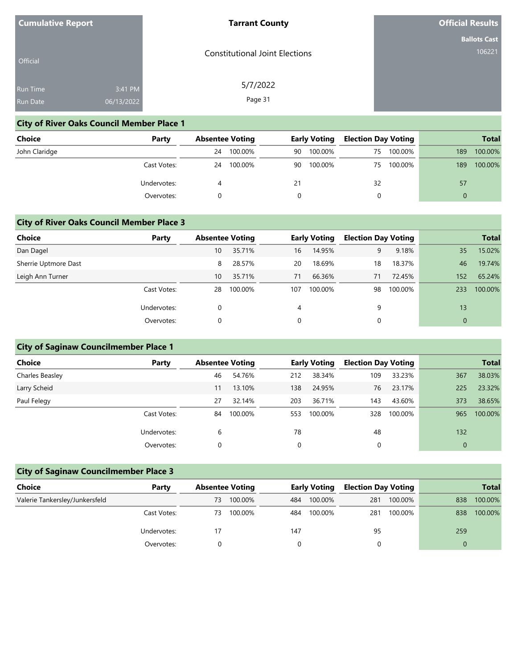| <b>Cumulative Report</b> |  |
|--------------------------|--|
|--------------------------|--|

#### **Tarrant County**

**Official Results**

**Ballots Cast** 106221

| <b>Official</b> |            | <b>Constitutional Joint Elections</b> |
|-----------------|------------|---------------------------------------|
| <b>Run Time</b> | 3:41 PM    | 5/7/2022                              |
| <b>Run Date</b> | 06/13/2022 | Page 31                               |

## **City of River Oaks Council Member Place 1**

| <b>Choice</b> | Party       | <b>Absentee Voting</b> | <b>Early Voting</b> |               | <b>Election Day Voting</b> |     | <b>Total</b> |
|---------------|-------------|------------------------|---------------------|---------------|----------------------------|-----|--------------|
| John Claridge |             | 100.00%<br>24          | 90                  | 100.00%<br>75 | 100.00%                    | 189 | 100.00%      |
|               | Cast Votes: | 100.00%<br>24          | 90                  | 100.00%<br>75 | 100.00%                    | 189 | 100.00%      |
|               | Undervotes: |                        | 21                  | 32            |                            | 57  |              |
|               | Overvotes:  |                        |                     |               |                            | 0   |              |

### **City of River Oaks Council Member Place 3**

| <b>Choice</b>        | Party       |    | <b>Absentee Voting</b> |     | <b>Early Voting</b> | <b>Election Day Voting</b> |         |     | <b>Total</b> |
|----------------------|-------------|----|------------------------|-----|---------------------|----------------------------|---------|-----|--------------|
| Dan Dagel            |             | 10 | 35.71%                 | 16  | 14.95%              | 9                          | 9.18%   | 35  | 15.02%       |
| Sherrie Uptmore Dast |             | 8  | 28.57%                 | 20  | 18.69%              | 18                         | 18.37%  | 46  | 19.74%       |
| Leigh Ann Turner     |             | 10 | 35.71%                 | 71  | 66.36%              | 71                         | 72.45%  | 152 | 65.24%       |
|                      | Cast Votes: | 28 | 100.00%                | 107 | 100.00%             | 98                         | 100.00% | 233 | 100.00%      |
|                      | Undervotes: | 0  |                        | 4   |                     | 9                          |         | 13  |              |
|                      | Overvotes:  | 0  |                        | 0   |                     | 0                          |         |     |              |

## **City of Saginaw Councilmember Place 1**

| <b>Choice</b>   | Party       | <b>Absentee Voting</b> |         |     | <b>Early Voting</b> | <b>Election Day Voting</b> |         |              | <b>Total</b> |
|-----------------|-------------|------------------------|---------|-----|---------------------|----------------------------|---------|--------------|--------------|
| Charles Beasley |             | 46                     | 54.76%  | 212 | 38.34%              | 109                        | 33.23%  | 367          | 38.03%       |
| Larry Scheid    |             | 11                     | 13.10%  | 138 | 24.95%              | 76                         | 23.17%  | 225          | 23.32%       |
| Paul Felegy     |             | 27                     | 32.14%  | 203 | 36.71%              | 143                        | 43.60%  | 373          | 38.65%       |
|                 | Cast Votes: | 84                     | 100.00% | 553 | 100.00%             | 328                        | 100.00% | 965          | 100.00%      |
|                 | Undervotes: | 6                      |         | 78  |                     | 48                         |         | 132          |              |
|                 | Overvotes:  |                        |         | 0   |                     |                            |         | $\mathbf{0}$ |              |

# **City of Saginaw Councilmember Place 3**

| Choice                         | Party       | <b>Absentee Voting</b> |         | <b>Early Voting</b> |         | <b>Election Day Voting</b> |         |     | <b>Total</b> |
|--------------------------------|-------------|------------------------|---------|---------------------|---------|----------------------------|---------|-----|--------------|
| Valerie Tankersley/Junkersfeld |             | 73                     | 100.00% | 484                 | 100.00% | 281                        | 100.00% | 838 | 100.00%      |
|                                | Cast Votes: | 73                     | 100.00% | 484                 | 100.00% | 281                        | 100.00% | 838 | 100.00%      |
|                                | Undervotes: | 17                     |         | 147                 |         | 95                         |         | 259 |              |
|                                | Overvotes:  |                        |         |                     |         |                            |         |     |              |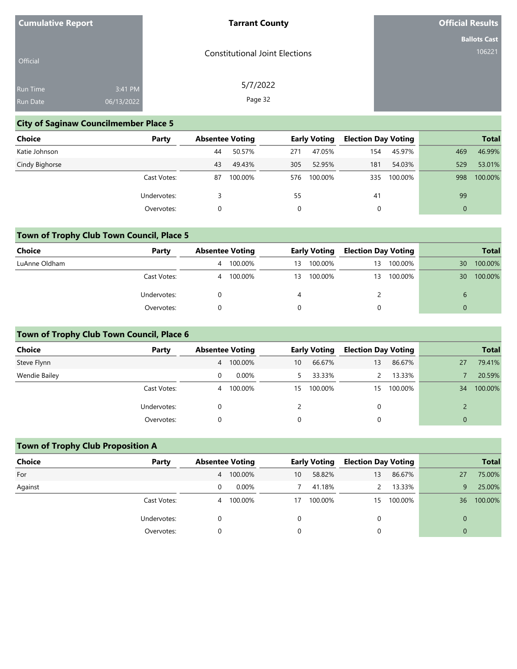| <b>Cumulative Report</b> |            | <b>Tarrant County</b>                 | <b>Official Results</b> |
|--------------------------|------------|---------------------------------------|-------------------------|
|                          |            |                                       | <b>Ballots Cast</b>     |
| Official                 |            | <b>Constitutional Joint Elections</b> | 106221                  |
| Run Time                 | 3:41 PM    | 5/7/2022                              |                         |
| Run Date                 | 06/13/2022 | Page 32                               |                         |

## **City of Saginaw Councilmember Place 5**

| <b>Choice</b>  | Party       | <b>Absentee Voting</b> |         |     | <b>Early Voting</b> | <b>Election Day Voting</b> |         |          | <b>Total</b> |
|----------------|-------------|------------------------|---------|-----|---------------------|----------------------------|---------|----------|--------------|
| Katie Johnson  |             | 44                     | 50.57%  | 271 | 47.05%              | 154                        | 45.97%  | 469      | 46.99%       |
| Cindy Bighorse |             | 43                     | 49.43%  | 305 | 52.95%              | 181                        | 54.03%  | 529      | 53.01%       |
|                | Cast Votes: | 87                     | 100.00% | 576 | 100.00%             | 335                        | 100.00% | 998      | 100.00%      |
|                | Undervotes: |                        |         | 55  |                     | 41                         |         | 99       |              |
|                | Overvotes:  |                        |         |     |                     |                            |         | $\Omega$ |              |

# **Town of Trophy Club Town Council, Place 5**

| Choice        | Party       | <b>Absentee Voting</b> |         |    | <b>Early Voting</b> |    |         |    | <b>Election Day Voting</b> |  | <b>Total</b> |
|---------------|-------------|------------------------|---------|----|---------------------|----|---------|----|----------------------------|--|--------------|
| LuAnne Oldham |             | 4                      | 100.00% | 13 | 100.00%             | 13 | 100.00% | 30 | 100.00%                    |  |              |
|               | Cast Votes: | 4                      | 100.00% | 13 | 100.00%             | 13 | 100.00% | 30 | 100.00%                    |  |              |
|               | Undervotes: |                        |         | 4  |                     |    |         | 6  |                            |  |              |
|               | Overvotes:  |                        |         |    |                     |    |         |    |                            |  |              |

## **Town of Trophy Club Town Council, Place 6**

| <b>Choice</b> | Party       | <b>Absentee Voting</b> |          |                 | <b>Early Voting</b> | <b>Election Day Voting</b> |         |          | <b>Total</b> |
|---------------|-------------|------------------------|----------|-----------------|---------------------|----------------------------|---------|----------|--------------|
| Steve Flynn   |             | 4                      | 100.00%  | 10 <sup>°</sup> | 66.67%              | 13                         | 86.67%  | 27       | 79.41%       |
| Wendie Bailey |             |                        | $0.00\%$ |                 | 33.33%              |                            | 13.33%  |          | 20.59%       |
|               | Cast Votes: | 4                      | 100.00%  | 15              | 100.00%             | 15                         | 100.00% | 34       | 100.00%      |
|               | Undervotes: |                        |          |                 |                     |                            |         |          |              |
|               | Overvotes:  |                        |          | 0               |                     |                            |         | $\Omega$ |              |

## **Town of Trophy Club Proposition A**

| <b>Choice</b> | Party       | <b>Absentee Voting</b> |         |    | <b>Early Voting</b> | <b>Election Day Voting</b> |         |           | <b>Total</b> |
|---------------|-------------|------------------------|---------|----|---------------------|----------------------------|---------|-----------|--------------|
| For           |             | 4                      | 100.00% | 10 | 58.82%              | 13                         | 86.67%  | <b>27</b> | 75.00%       |
| Against       |             |                        | 0.00%   |    | 41.18%              |                            | 13.33%  | 9.        | 25.00%       |
|               | Cast Votes: | 4                      | 100.00% | 17 | 100.00%             | 15                         | 100.00% | 36        | 100.00%      |
|               | Undervotes: |                        |         |    |                     |                            |         |           |              |
|               | Overvotes:  |                        |         |    |                     |                            |         |           |              |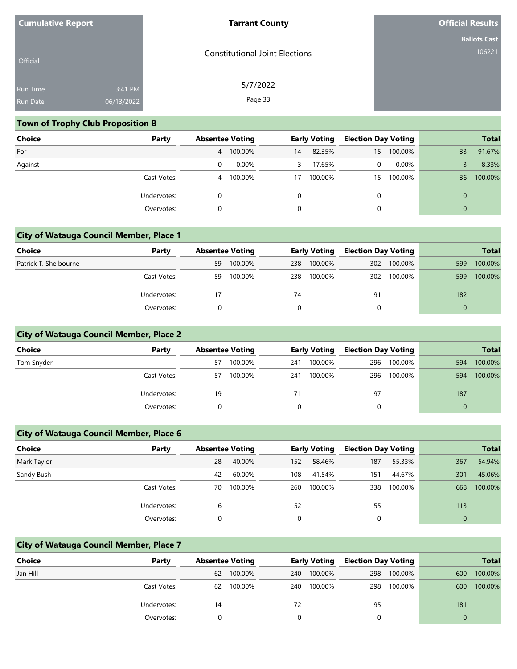| <b>Cumulative Report</b> |            | <b>Tarrant County</b>                 | <b>Official Results</b> |
|--------------------------|------------|---------------------------------------|-------------------------|
|                          |            |                                       | <b>Ballots Cast</b>     |
| Official                 |            | <b>Constitutional Joint Elections</b> | 106221                  |
| Run Time                 | 3:41 PM    | 5/7/2022                              |                         |
| Run Date                 | 06/13/2022 | Page 33                               |                         |

## **Town of Trophy Club Proposition B**

| Choice  | Party       | <b>Absentee Voting</b> |           |    | <b>Early Voting</b> | <b>Election Day Voting</b> |          |          | <b>Total</b> |
|---------|-------------|------------------------|-----------|----|---------------------|----------------------------|----------|----------|--------------|
| For     |             |                        | 4 100.00% | 14 | 82.35%              | 15                         | 100.00%  | 33       | 91.67%       |
| Against |             | 0                      | $0.00\%$  | 3. | 17.65%              | 0                          | $0.00\%$ |          | 8.33%        |
|         | Cast Votes: | 4                      | 100.00%   | 17 | 100.00%             | 15                         | 100.00%  | 36       | 100.00%      |
|         | Undervotes: | 0                      |           |    |                     | 0                          |          | $\Omega$ |              |
|         | Overvotes:  | 0                      |           |    |                     | 0                          |          | $\Omega$ |              |

## **City of Watauga Council Member, Place 1**

| <b>Choice</b>         | Party       | <b>Absentee Voting</b> |         |     | <b>Early Voting</b> | <b>Election Day Voting</b> |             |     | <b>Total</b> |
|-----------------------|-------------|------------------------|---------|-----|---------------------|----------------------------|-------------|-----|--------------|
| Patrick T. Shelbourne |             | 59                     | 100.00% | 238 | 100.00%             |                            | 302 100.00% | 599 | 100.00%      |
|                       | Cast Votes: | 59                     | 100.00% | 238 | 100.00%             |                            | 302 100.00% | 599 | 100.00%      |
|                       | Undervotes: | 17                     |         | 74  |                     | 91                         |             | 182 |              |
|                       | Overvotes:  |                        |         |     |                     |                            |             |     |              |

## **City of Watauga Council Member, Place 2**

| <b>Choice</b> | Party       | <b>Absentee Voting</b> |         |     | <b>Early Voting</b> | <b>Election Day Voting</b> |             |     | <b>Total</b> |
|---------------|-------------|------------------------|---------|-----|---------------------|----------------------------|-------------|-----|--------------|
| Tom Snyder    |             | 57                     | 100.00% | 241 | 100.00%             | 296                        | 100.00%     | 594 | 100.00%      |
|               | Cast Votes: | 57                     | 100.00% | 241 | 100.00%             |                            | 296 100.00% | 594 | 100.00%      |
|               | Undervotes: | 19                     |         | 71  |                     | 97                         |             | 187 |              |
|               | Overvotes:  |                        |         |     |                     |                            |             |     |              |

## **City of Watauga Council Member, Place 6**

| <b>Choice</b> | Party       | <b>Absentee Voting</b> |         |     | <b>Early Voting</b> | <b>Election Day Voting</b> |         |              | <b>Total</b> |
|---------------|-------------|------------------------|---------|-----|---------------------|----------------------------|---------|--------------|--------------|
| Mark Taylor   |             | 28                     | 40.00%  | 152 | 58.46%              | 187                        | 55.33%  | 367          | 54.94%       |
| Sandy Bush    |             | 42                     | 60.00%  | 108 | 41.54%              | 151                        | 44.67%  | 301          | 45.06%       |
|               | Cast Votes: | 70                     | 100.00% | 260 | 100.00%             | 338                        | 100.00% | 668          | 100.00%      |
|               | Undervotes: | 6                      |         | 52  |                     | 55                         |         | 113          |              |
|               | Overvotes:  |                        |         |     |                     |                            |         | $\mathbf{0}$ |              |

### **City of Watauga Council Member, Place 7**

| <b>Choice</b> | Party       | <b>Absentee Voting</b> |         |     | <b>Early Voting</b> | <b>Election Day Voting</b> |         |     | <b>Total</b> |
|---------------|-------------|------------------------|---------|-----|---------------------|----------------------------|---------|-----|--------------|
| Jan Hill      |             | 62                     | 100.00% | 240 | 100.00%             | 298                        | 100.00% | 600 | 100.00%      |
|               | Cast Votes: | 62                     | 100.00% | 240 | 100.00%             | 298                        | 100.00% | 600 | 100.00%      |
|               | Undervotes: | 14                     |         | 72  |                     | 95                         |         | 181 |              |
|               | Overvotes:  |                        |         |     |                     |                            |         |     |              |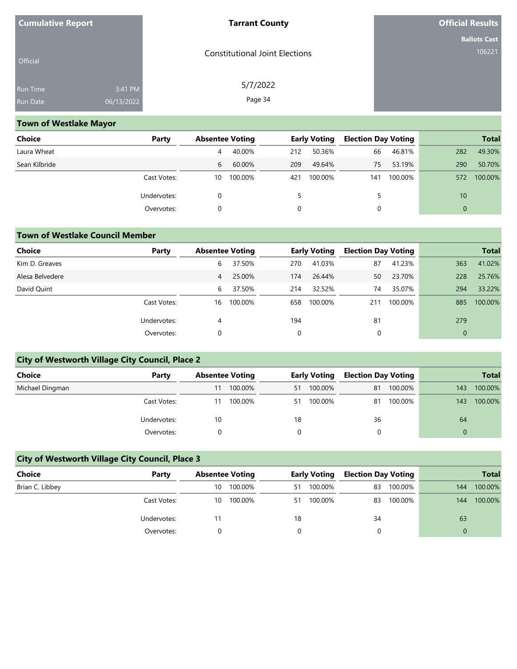| <b>Cumulative Report</b> |            | <b>Tarrant County</b>                 | <b>Official Results</b> |
|--------------------------|------------|---------------------------------------|-------------------------|
|                          |            |                                       | <b>Ballots Cast</b>     |
| Official                 |            | <b>Constitutional Joint Elections</b> | 106221                  |
| Run Time                 | 3:41 PM    | 5/7/2022                              |                         |
| Run Date                 | 06/13/2022 | Page 34                               |                         |

## **Town of Westlake Mayor**

| Choice        | Party       | <b>Absentee Voting</b> |         |     | <b>Early Voting</b> | <b>Election Day Voting</b> |         |          | <b>Total</b> |
|---------------|-------------|------------------------|---------|-----|---------------------|----------------------------|---------|----------|--------------|
| Laura Wheat   |             | 4                      | 40.00%  | 212 | 50.36%              | 66                         | 46.81%  | 282      | 49.30%       |
| Sean Kilbride |             | 6                      | 60.00%  | 209 | 49.64%              | 75                         | 53.19%  | 290      | 50.70%       |
|               | Cast Votes: | 10                     | 100.00% | 421 | 100.00%             | 141                        | 100.00% | 572      | 100.00%      |
|               | Undervotes: | $\Omega$               |         |     |                     |                            |         | 10       |              |
|               | Overvotes:  | 0                      |         |     |                     | 0                          |         | $\Omega$ |              |

### **Town of Westlake Council Member**

| <b>Choice</b>   | Party       | <b>Absentee Voting</b> |         |     | <b>Early Voting</b> | <b>Election Day Voting</b> |         |                | <b>Total</b> |
|-----------------|-------------|------------------------|---------|-----|---------------------|----------------------------|---------|----------------|--------------|
| Kim D. Greaves  |             | 6                      | 37.50%  | 270 | 41.03%              | 87                         | 41.23%  | 363            | 41.02%       |
| Alesa Belvedere |             | 4                      | 25.00%  | 174 | 26.44%              | 50                         | 23.70%  | 228            | 25.76%       |
| David Quint     |             | 6                      | 37.50%  | 214 | 32.52%              | 74                         | 35.07%  | 294            | 33.22%       |
|                 | Cast Votes: | 16                     | 100.00% | 658 | 100.00%             | 211                        | 100.00% | 885            | 100.00%      |
|                 | Undervotes: | 4                      |         | 194 |                     | 81                         |         | 279            |              |
|                 | Overvotes:  | 0                      |         | 0   |                     | 0                          |         | $\overline{0}$ |              |

# **City of Westworth Village City Council, Place 2**

| Choice          | Party       | <b>Absentee Voting</b> |         | <b>Early Voting</b> |         | <b>Election Day Voting</b> |         |          | <b>Total</b> |
|-----------------|-------------|------------------------|---------|---------------------|---------|----------------------------|---------|----------|--------------|
| Michael Dingman |             | 11                     | 100.00% | 51                  | 100.00% | 81                         | 100.00% | 143      | 100.00%      |
|                 | Cast Votes: | 11                     | 100.00% | 51                  | 100.00% | 81                         | 100.00% | 143      | 100.00%      |
|                 | Undervotes: | 10                     |         | 18                  |         | 36                         |         | 64       |              |
|                 | Overvotes:  |                        |         |                     |         |                            |         | $\Omega$ |              |

# **City of Westworth Village City Council, Place 3**

| <b>Choice</b>   | Party       | <b>Absentee Voting</b> |         | <b>Early Voting</b> |         | <b>Election Day Voting</b> |         |     | <b>Total</b> |
|-----------------|-------------|------------------------|---------|---------------------|---------|----------------------------|---------|-----|--------------|
| Brian C. Libbey |             | 10                     | 100.00% | 51                  | 100.00% | 83                         | 100.00% | 144 | 100.00%      |
|                 | Cast Votes: | 10                     | 100.00% | 51                  | 100.00% | 83                         | 100.00% | 144 | 100.00%      |
|                 | Undervotes: | 11                     |         | 18                  |         | 34                         |         | 63  |              |
|                 | Overvotes:  |                        |         |                     |         |                            |         | 0   |              |